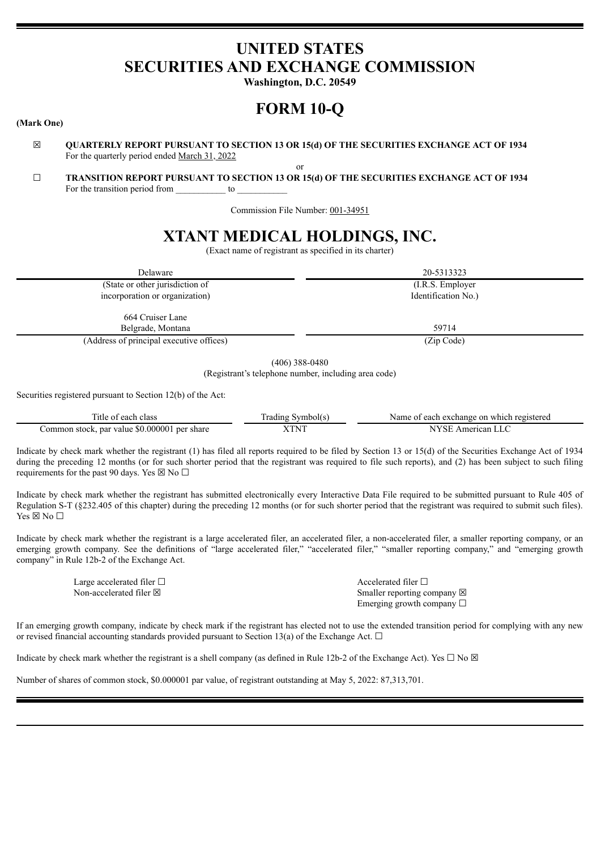# **UNITED STATES SECURITIES AND EXCHANGE COMMISSION**

**Washington, D.C. 20549**

# **FORM 10-Q**

#### **(Mark One)**

- ☒ **QUARTERLY REPORT PURSUANT TO SECTION 13 OR 15(d) OF THE SECURITIES EXCHANGE ACT OF 1934** For the quarterly period ended March 31, 2022
- ☐ **TRANSITION REPORT PURSUANT TO SECTION 13 OR 15(d) OF THE SECURITIES EXCHANGE ACT OF 1934** For the transition period from to

Commission File Number: 001-34951

or

# **XTANT MEDICAL HOLDINGS, INC.**

(Exact name of registrant as specified in its charter)

| Delaware                                 | 20-5313323          |
|------------------------------------------|---------------------|
| (State or other jurisdiction of          | (I.R.S. Employer)   |
| incorporation or organization)           | Identification No.) |
| 664 Cruiser Lane<br>Belgrade, Montana    | 59714               |
| (Address of principal executive offices) | (Zip Code)          |

(406) 388-0480

(Registrant's telephone number, including area code)

Securities registered pursuant to Section 12(b) of the Act:

| l'itle of<br>each class :                            | rading<br>Symbol(s) | Name of each exchange on which registered |
|------------------------------------------------------|---------------------|-------------------------------------------|
| . par value \$0.000001<br>per share<br>Common stock. | 'Nʻ                 | American<br>SЕ                            |

Indicate by check mark whether the registrant (1) has filed all reports required to be filed by Section 13 or 15(d) of the Securities Exchange Act of 1934 during the preceding 12 months (or for such shorter period that the registrant was required to file such reports), and (2) has been subject to such filing requirements for the past 90 days. Yes  $\boxtimes$  No  $\Box$ 

Indicate by check mark whether the registrant has submitted electronically every Interactive Data File required to be submitted pursuant to Rule 405 of Regulation S-T (§232.405 of this chapter) during the preceding 12 months (or for such shorter period that the registrant was required to submit such files). Yes  $\boxtimes$  No  $\Box$ 

Indicate by check mark whether the registrant is a large accelerated filer, an accelerated filer, a non-accelerated filer, a smaller reporting company, or an emerging growth company. See the definitions of "large accelerated filer," "accelerated filer," "smaller reporting company," and "emerging growth company" in Rule 12b-2 of the Exchange Act.

| Large accelerated filer $\square$ | Accelerated filer $\Box$              |
|-----------------------------------|---------------------------------------|
| Non-accelerated filer $\boxtimes$ | Smaller reporting company $\boxtimes$ |
|                                   | Emerging growth company $\square$     |

If an emerging growth company, indicate by check mark if the registrant has elected not to use the extended transition period for complying with any new or revised financial accounting standards provided pursuant to Section 13(a) of the Exchange Act.  $\Box$ 

Indicate by check mark whether the registrant is a shell company (as defined in Rule 12b-2 of the Exchange Act). Yes  $\Box$  No  $\boxtimes$ 

Number of shares of common stock, \$0.000001 par value, of registrant outstanding at May 5, 2022: 87,313,701.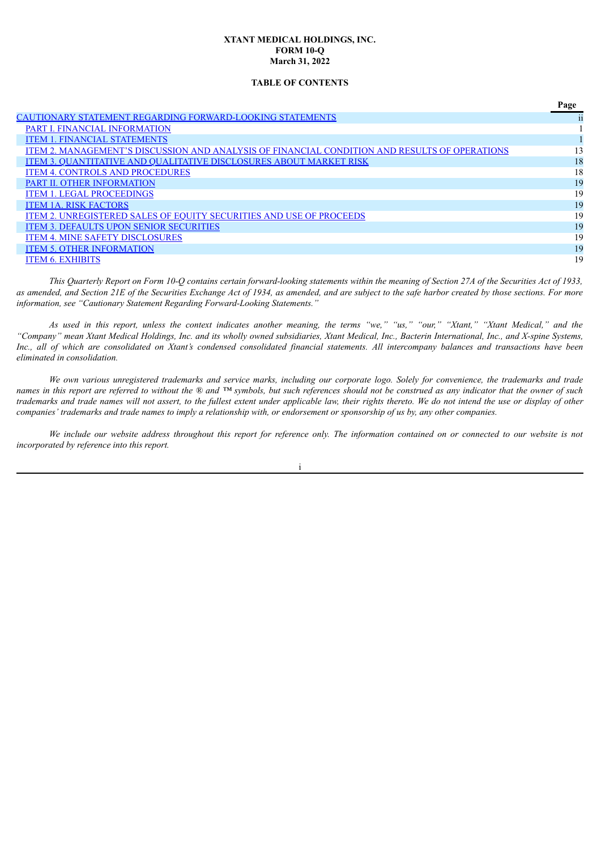## **XTANT MEDICAL HOLDINGS, INC. FORM 10-Q March 31, 2022**

## **TABLE OF CONTENTS**

**Page**

|                                                                                               | 1 agu |
|-----------------------------------------------------------------------------------------------|-------|
| <b>CAUTIONARY STATEMENT REGARDING FORWARD-LOOKING STATEMENTS</b>                              | 11    |
| PART I. FINANCIAL INFORMATION                                                                 |       |
| <b>ITEM 1. FINANCIAL STATEMENTS</b>                                                           |       |
| ITEM 2. MANAGEMENT'S DISCUSSION AND ANALYSIS OF FINANCIAL CONDITION AND RESULTS OF OPERATIONS | 13    |
| <u>ITEM 3. QUANTITATIVE AND QUALITATIVE DISCLOSURES ABOUT MARKET RISK</u>                     | 18    |
| <b>ITEM 4. CONTROLS AND PROCEDURES</b>                                                        | 18    |
| PART II. OTHER INFORMATION                                                                    | 19    |
| <b>ITEM 1. LEGAL PROCEEDINGS</b>                                                              | 19    |
| <b>ITEM 1A. RISK FACTORS</b>                                                                  | 19    |
| <b>ITEM 2. UNREGISTERED SALES OF EQUITY SECURITIES AND USE OF PROCEEDS</b>                    | 19    |
| <b>ITEM 3. DEFAULTS UPON SENIOR SECURITIES</b>                                                | 19    |
| <b>ITEM 4. MINE SAFETY DISCLOSURES</b>                                                        | 19    |
| <b>ITEM 5. OTHER INFORMATION</b>                                                              | 19    |
| <b>ITEM 6. EXHIBITS</b>                                                                       | 19    |
|                                                                                               |       |

This Quarterly Report on Form 10-Q contains certain forward-looking statements within the meaning of Section 27A of the Securities Act of 1933, as amended, and Section 21E of the Securities Exchange Act of 1934, as amended, and are subject to the safe harbor created by those sections. For more *information, see "Cautionary Statement Regarding Forward-Looking Statements."*

As used in this report, unless the context indicates another meaning, the terms "we," "us," "our," "Xtant," "Xtant Medical," and the "Company" mean Xtant Medical Holdings, Inc. and its wholly owned subsidiaries, Xtant Medical, Inc., Bacterin International, Inc., and X-spine Systems, Inc., all of which are consolidated on Xtant's condensed consolidated financial statements. All intercompany balances and transactions have been *eliminated in consolidation.*

We own various unregistered trademarks and service marks, including our corporate logo. Solely for convenience, the trademarks and trade names in this report are referred to without the ® and ™ symbols, but such references should not be construed as any indicator that the owner of such trademarks and trade names will not assert, to the fullest extent under applicable law, their rights thereto. We do not intend the use or display of other companies' trademarks and trade names to imply a relationship with, or endorsement or sponsorship of us by, any other companies.

We include our website address throughout this report for reference only. The information contained on or connected to our website is not *incorporated by reference into this report.*

i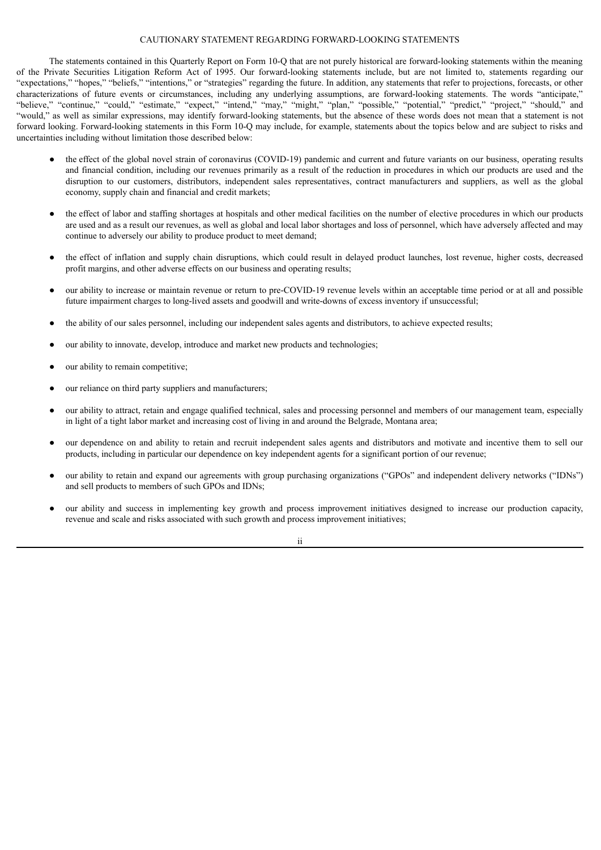#### CAUTIONARY STATEMENT REGARDING FORWARD-LOOKING STATEMENTS

<span id="page-2-0"></span>The statements contained in this Quarterly Report on Form 10-Q that are not purely historical are forward-looking statements within the meaning of the Private Securities Litigation Reform Act of 1995. Our forward-looking statements include, but are not limited to, statements regarding our "expectations," "hopes," "beliefs," "intentions," or "strategies" regarding the future. In addition, any statements that refer to projections, forecasts, or other characterizations of future events or circumstances, including any underlying assumptions, are forward-looking statements. The words "anticipate," "believe," "continue," "could," "estimate," "expect," "intend," "may," "might," "plan," "possible," "potential," "predict," "project," "should," and "would," as well as similar expressions, may identify forward-looking statements, but the absence of these words does not mean that a statement is not forward looking. Forward-looking statements in this Form 10-Q may include, for example, statements about the topics below and are subject to risks and uncertainties including without limitation those described below:

- the effect of the global novel strain of coronavirus (COVID-19) pandemic and current and future variants on our business, operating results and financial condition, including our revenues primarily as a result of the reduction in procedures in which our products are used and the disruption to our customers, distributors, independent sales representatives, contract manufacturers and suppliers, as well as the global economy, supply chain and financial and credit markets;
- the effect of labor and staffing shortages at hospitals and other medical facilities on the number of elective procedures in which our products are used and as a result our revenues, as well as global and local labor shortages and loss of personnel, which have adversely affected and may continue to adversely our ability to produce product to meet demand;
- the effect of inflation and supply chain disruptions, which could result in delayed product launches, lost revenue, higher costs, decreased profit margins, and other adverse effects on our business and operating results;
- our ability to increase or maintain revenue or return to pre-COVID-19 revenue levels within an acceptable time period or at all and possible future impairment charges to long-lived assets and goodwill and write-downs of excess inventory if unsuccessful;
- the ability of our sales personnel, including our independent sales agents and distributors, to achieve expected results;
- our ability to innovate, develop, introduce and market new products and technologies;
- our ability to remain competitive;
- our reliance on third party suppliers and manufacturers;
- our ability to attract, retain and engage qualified technical, sales and processing personnel and members of our management team, especially in light of a tight labor market and increasing cost of living in and around the Belgrade, Montana area;
- our dependence on and ability to retain and recruit independent sales agents and distributors and motivate and incentive them to sell our products, including in particular our dependence on key independent agents for a significant portion of our revenue;
- our ability to retain and expand our agreements with group purchasing organizations ("GPOs" and independent delivery networks ("IDNs") and sell products to members of such GPOs and IDNs;
- our ability and success in implementing key growth and process improvement initiatives designed to increase our production capacity, revenue and scale and risks associated with such growth and process improvement initiatives;

ii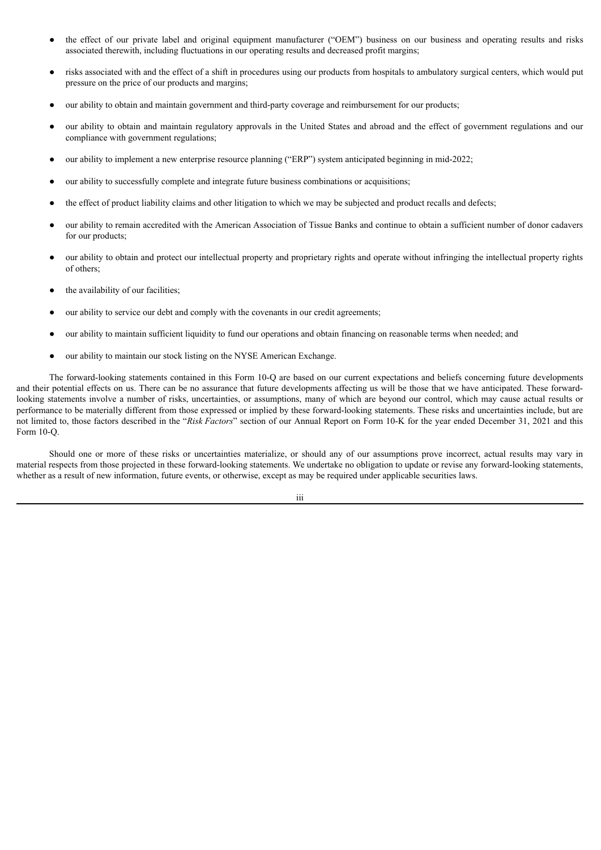- the effect of our private label and original equipment manufacturer ("OEM") business on our business and operating results and risks associated therewith, including fluctuations in our operating results and decreased profit margins;
- risks associated with and the effect of a shift in procedures using our products from hospitals to ambulatory surgical centers, which would put pressure on the price of our products and margins;
- our ability to obtain and maintain government and third-party coverage and reimbursement for our products;
- our ability to obtain and maintain regulatory approvals in the United States and abroad and the effect of government regulations and our compliance with government regulations;
- our ability to implement a new enterprise resource planning ("ERP") system anticipated beginning in mid-2022;
- our ability to successfully complete and integrate future business combinations or acquisitions;
- the effect of product liability claims and other litigation to which we may be subjected and product recalls and defects;
- our ability to remain accredited with the American Association of Tissue Banks and continue to obtain a sufficient number of donor cadavers for our products;
- our ability to obtain and protect our intellectual property and proprietary rights and operate without infringing the intellectual property rights of others;
- the availability of our facilities;
- our ability to service our debt and comply with the covenants in our credit agreements;
- our ability to maintain sufficient liquidity to fund our operations and obtain financing on reasonable terms when needed; and
- our ability to maintain our stock listing on the NYSE American Exchange.

The forward-looking statements contained in this Form 10-Q are based on our current expectations and beliefs concerning future developments and their potential effects on us. There can be no assurance that future developments affecting us will be those that we have anticipated. These forwardlooking statements involve a number of risks, uncertainties, or assumptions, many of which are beyond our control, which may cause actual results or performance to be materially different from those expressed or implied by these forward-looking statements. These risks and uncertainties include, but are not limited to, those factors described in the "*Risk Factors*" section of our Annual Report on Form 10-K for the year ended December 31, 2021 and this Form 10-Q.

Should one or more of these risks or uncertainties materialize, or should any of our assumptions prove incorrect, actual results may vary in material respects from those projected in these forward-looking statements. We undertake no obligation to update or revise any forward-looking statements, whether as a result of new information, future events, or otherwise, except as may be required under applicable securities laws.

iii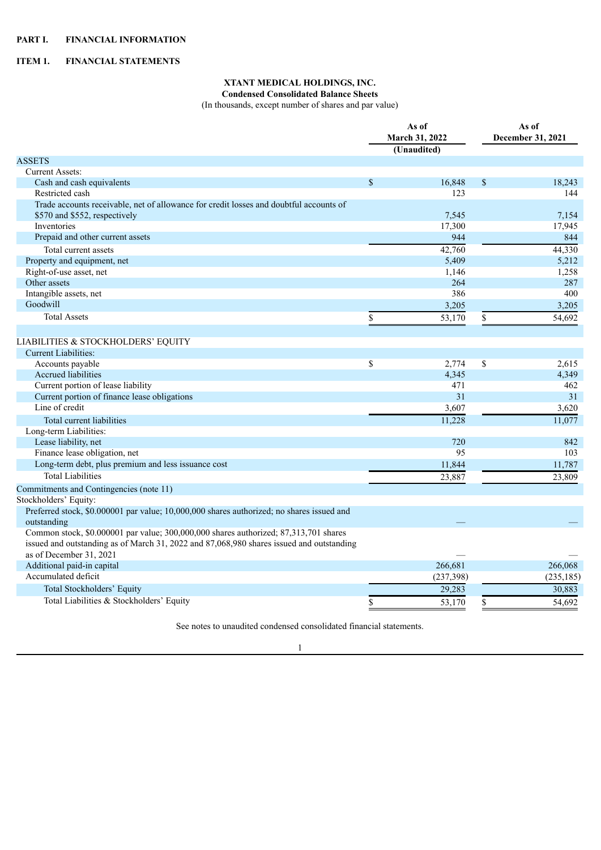# <span id="page-4-1"></span><span id="page-4-0"></span>**ITEM 1. FINANCIAL STATEMENTS**

# **XTANT MEDICAL HOLDINGS, INC. Condensed Consolidated Balance Sheets**

(In thousands, except number of shares and par value)

|                                                                                           |                          | As of<br>March 31, 2022<br>(Unaudited) | As of<br><b>December 31, 2021</b> |            |  |
|-------------------------------------------------------------------------------------------|--------------------------|----------------------------------------|-----------------------------------|------------|--|
| <b>ASSETS</b>                                                                             |                          |                                        |                                   |            |  |
| <b>Current Assets:</b>                                                                    |                          |                                        |                                   |            |  |
| Cash and cash equivalents                                                                 | $\mathbf{\hat{S}}$       | 16,848                                 | \$                                | 18,243     |  |
| Restricted cash                                                                           |                          | 123                                    |                                   | 144        |  |
| Trade accounts receivable, net of allowance for credit losses and doubtful accounts of    |                          |                                        |                                   |            |  |
| \$570 and \$552, respectively                                                             |                          | 7,545                                  |                                   | 7,154      |  |
| Inventories                                                                               |                          | 17,300                                 |                                   | 17,945     |  |
| Prepaid and other current assets                                                          |                          | 944                                    |                                   | 844        |  |
| Total current assets                                                                      |                          | 42,760                                 |                                   | 44,330     |  |
| Property and equipment, net                                                               |                          | 5,409                                  |                                   | 5,212      |  |
| Right-of-use asset, net                                                                   |                          | 1,146                                  |                                   | 1,258      |  |
| Other assets                                                                              |                          | 264                                    |                                   | 287        |  |
| Intangible assets, net                                                                    |                          | 386                                    |                                   | 400        |  |
| Goodwill                                                                                  |                          | 3,205                                  |                                   | 3,205      |  |
| <b>Total Assets</b>                                                                       | \$                       | 53,170                                 | \$                                | 54,692     |  |
|                                                                                           |                          |                                        |                                   |            |  |
| LIABILITIES & STOCKHOLDERS' EQUITY                                                        |                          |                                        |                                   |            |  |
| <b>Current Liabilities:</b>                                                               |                          |                                        |                                   |            |  |
| Accounts payable                                                                          | $\overline{\mathcal{S}}$ | 2,774                                  | \$                                | 2,615      |  |
| <b>Accrued liabilities</b>                                                                |                          | 4,345                                  |                                   | 4,349      |  |
| Current portion of lease liability                                                        |                          | 471                                    |                                   | 462        |  |
| Current portion of finance lease obligations                                              |                          | 31                                     |                                   | 31         |  |
| Line of credit                                                                            |                          | 3,607                                  |                                   | 3,620      |  |
| Total current liabilities                                                                 |                          | 11,228                                 |                                   | 11,077     |  |
| Long-term Liabilities:                                                                    |                          |                                        |                                   |            |  |
| Lease liability, net                                                                      |                          | 720                                    |                                   | 842        |  |
| Finance lease obligation, net                                                             |                          | 95                                     |                                   | 103        |  |
| Long-term debt, plus premium and less issuance cost                                       |                          | 11,844                                 |                                   | 11,787     |  |
| <b>Total Liabilities</b>                                                                  |                          | 23,887                                 |                                   | 23,809     |  |
| Commitments and Contingencies (note 11)                                                   |                          |                                        |                                   |            |  |
| Stockholders' Equity:                                                                     |                          |                                        |                                   |            |  |
| Preferred stock, \$0.000001 par value; 10,000,000 shares authorized; no shares issued and |                          |                                        |                                   |            |  |
| outstanding                                                                               |                          |                                        |                                   |            |  |
| Common stock, \$0.000001 par value; 300,000,000 shares authorized; 87,313,701 shares      |                          |                                        |                                   |            |  |
| issued and outstanding as of March 31, 2022 and 87,068,980 shares issued and outstanding  |                          |                                        |                                   |            |  |
| as of December 31, 2021                                                                   |                          |                                        |                                   |            |  |
| Additional paid-in capital                                                                |                          | 266,681                                |                                   | 266,068    |  |
| Accumulated deficit                                                                       |                          | (237, 398)                             |                                   | (235, 185) |  |
| Total Stockholders' Equity                                                                |                          | 29,283                                 |                                   | 30,883     |  |
| Total Liabilities & Stockholders' Equity                                                  | \$                       | 53,170                                 | \$                                | 54,692     |  |
|                                                                                           |                          |                                        |                                   |            |  |

See notes to unaudited condensed consolidated financial statements.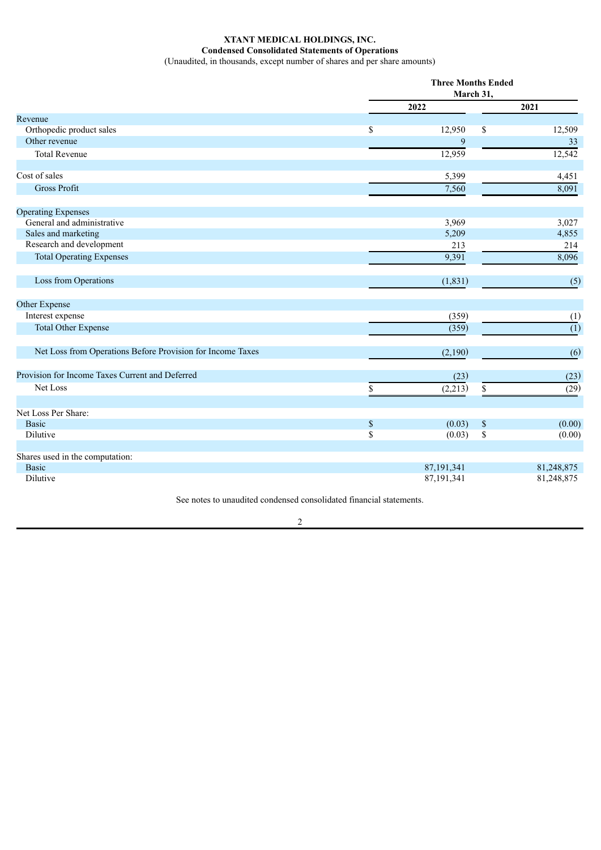# **XTANT MEDICAL HOLDINGS, INC. Condensed Consolidated Statements of Operations**

(Unaudited, in thousands, except number of shares and per share amounts)

|                                                            |                 | <b>Three Months Ended</b><br>March 31, |              |            |  |
|------------------------------------------------------------|-----------------|----------------------------------------|--------------|------------|--|
|                                                            |                 | 2022                                   |              | 2021       |  |
| Revenue                                                    |                 |                                        |              |            |  |
| Orthopedic product sales                                   | \$              | 12,950                                 | \$           | 12,509     |  |
| Other revenue                                              |                 | 9                                      |              | 33         |  |
| <b>Total Revenue</b>                                       |                 | 12,959                                 |              | 12,542     |  |
| Cost of sales                                              |                 | 5,399                                  |              | 4,451      |  |
| <b>Gross Profit</b>                                        |                 | 7,560                                  |              | 8,091      |  |
| <b>Operating Expenses</b>                                  |                 |                                        |              |            |  |
| General and administrative                                 |                 | 3,969                                  |              | 3,027      |  |
| Sales and marketing                                        |                 | 5,209                                  |              | 4,855      |  |
| Research and development                                   |                 | 213                                    |              | 214        |  |
| <b>Total Operating Expenses</b>                            |                 | 9,391                                  |              | 8,096      |  |
| Loss from Operations                                       |                 | (1, 831)                               |              | (5)        |  |
| Other Expense                                              |                 |                                        |              |            |  |
| Interest expense                                           |                 | (359)                                  |              | (1)        |  |
| <b>Total Other Expense</b>                                 |                 | (359)                                  |              | (1)        |  |
| Net Loss from Operations Before Provision for Income Taxes |                 | (2,190)                                |              | (6)        |  |
| Provision for Income Taxes Current and Deferred            |                 | (23)                                   |              | (23)       |  |
| Net Loss                                                   | \$              | (2,213)                                | \$           | (29)       |  |
| Net Loss Per Share:                                        |                 |                                        |              |            |  |
| <b>Basic</b>                                               | $\mathbb{S}$    | (0.03)                                 | $\mathbb{S}$ | (0.00)     |  |
| <b>Dilutive</b>                                            | $\overline{\$}$ | (0.03)                                 | \$           | (0.00)     |  |
| Shares used in the computation:                            |                 |                                        |              |            |  |
| <b>Basic</b>                                               |                 | 87, 191, 341                           |              | 81,248,875 |  |
| Dilutive                                                   |                 | 87,191,341                             |              | 81,248,875 |  |

See notes to unaudited condensed consolidated financial statements.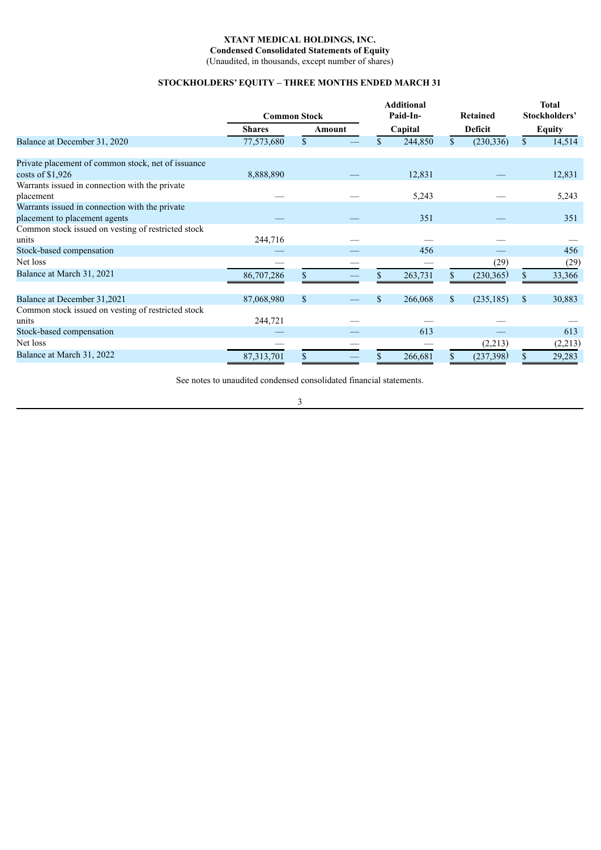## **XTANT MEDICAL HOLDINGS, INC. Condensed Consolidated Statements of Equity** (Unaudited, in thousands, except number of shares)

# **STOCKHOLDERS' EQUITY – THREE MONTHS ENDED MARCH 31**

|                                                    |                     |    |        |          | <b>Additional</b> |          |                |               | <b>Total</b> |
|----------------------------------------------------|---------------------|----|--------|----------|-------------------|----------|----------------|---------------|--------------|
|                                                    | <b>Common Stock</b> |    |        | Paid-In- |                   | Retained |                | Stockholders' |              |
|                                                    | <b>Shares</b>       |    | Amount |          | Capital           |          | <b>Deficit</b> |               | Equity       |
| Balance at December 31, 2020                       | 77,573,680          | \$ |        | \$       | 244,850           | S        | (230, 336)     |               | 14,514       |
| Private placement of common stock, net of issuance |                     |    |        |          |                   |          |                |               |              |
| $costs$ of \$1,926                                 | 8,888,890           |    |        |          | 12,831            |          |                |               | 12,831       |
| Warrants issued in connection with the private     |                     |    |        |          |                   |          |                |               |              |
| placement                                          |                     |    |        |          | 5,243             |          |                |               | 5,243        |
| Warrants issued in connection with the private     |                     |    |        |          |                   |          |                |               |              |
| placement to placement agents                      |                     |    |        |          | 351               |          |                |               | 351          |
| Common stock issued on vesting of restricted stock |                     |    |        |          |                   |          |                |               |              |
| units                                              | 244,716             |    |        |          |                   |          |                |               |              |
| Stock-based compensation                           |                     |    |        |          | 456               |          |                |               | 456          |
| Net loss                                           |                     |    |        |          |                   |          | (29)           |               | (29)         |
| Balance at March 31, 2021                          | 86,707,286          |    |        |          | 263,731           |          | (230, 365)     |               | 33,366       |
|                                                    |                     |    |        |          |                   |          |                |               |              |
| Balance at December 31,2021                        | 87,068,980          | \$ |        | \$       | 266,068           | \$       | (235, 185)     | \$            | 30,883       |
| Common stock issued on vesting of restricted stock |                     |    |        |          |                   |          |                |               |              |
| units                                              | 244,721             |    |        |          |                   |          |                |               |              |
| Stock-based compensation                           |                     |    |        |          | 613               |          |                |               | 613          |
| Net loss                                           |                     |    |        |          |                   |          | (2,213)        |               | (2,213)      |
| Balance at March 31, 2022                          | 87, 313, 701        |    |        |          | 266,681           |          | (237,398)      |               | 29,283       |

See notes to unaudited condensed consolidated financial statements.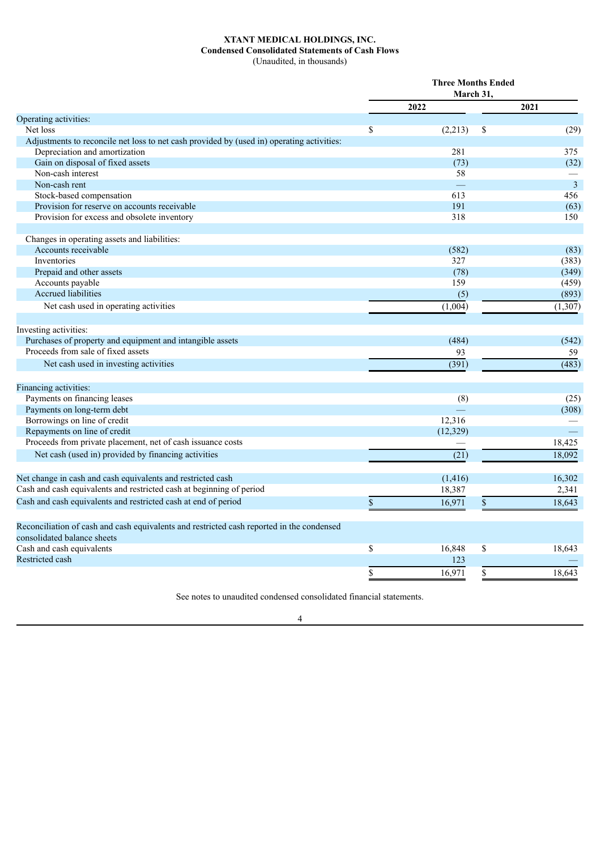# **XTANT MEDICAL HOLDINGS, INC. Condensed Consolidated Statements of Cash Flows** (Unaudited, in thousands)

|                                                                                           | <b>Three Months Ended</b><br>March 31, |                   |    |                |
|-------------------------------------------------------------------------------------------|----------------------------------------|-------------------|----|----------------|
|                                                                                           |                                        | 2022              |    | 2021           |
| Operating activities:                                                                     |                                        |                   |    |                |
| Net loss                                                                                  | \$                                     | (2,213)           | \$ | (29)           |
| Adjustments to reconcile net loss to net cash provided by (used in) operating activities: |                                        |                   |    |                |
| Depreciation and amortization                                                             |                                        | 281               |    | 375            |
| Gain on disposal of fixed assets                                                          |                                        | (73)              |    | (32)           |
| Non-cash interest                                                                         |                                        | 58                |    |                |
| Non-cash rent                                                                             |                                        | $\equiv$          |    | $\overline{3}$ |
| Stock-based compensation                                                                  |                                        | 613               |    | 456            |
| Provision for reserve on accounts receivable                                              |                                        | 191               |    | (63)           |
| Provision for excess and obsolete inventory                                               |                                        | 318               |    | 150            |
| Changes in operating assets and liabilities:                                              |                                        |                   |    |                |
| Accounts receivable                                                                       |                                        | (582)             |    | (83)           |
| <b>Inventories</b>                                                                        |                                        | 327               |    | (383)          |
| Prepaid and other assets                                                                  |                                        | (78)              |    | (349)          |
| Accounts payable                                                                          |                                        | 159               |    | (459)          |
| <b>Accrued liabilities</b>                                                                |                                        | (5)               |    | (893)          |
| Net cash used in operating activities                                                     |                                        | (1,004)           |    | (1,307)        |
| Investing activities:                                                                     |                                        |                   |    |                |
| Purchases of property and equipment and intangible assets                                 |                                        | (484)             |    | (542)          |
| Proceeds from sale of fixed assets                                                        |                                        | 93                |    | 59             |
| Net cash used in investing activities                                                     |                                        | (391)             |    | (483)          |
|                                                                                           |                                        |                   |    |                |
| Financing activities:                                                                     |                                        |                   |    |                |
| Payments on financing leases                                                              |                                        | (8)               |    | (25)           |
| Payments on long-term debt                                                                |                                        |                   |    | (308)          |
| Borrowings on line of credit                                                              |                                        | 12,316            |    |                |
| Repayments on line of credit                                                              |                                        | (12, 329)         |    |                |
| Proceeds from private placement, net of cash issuance costs                               |                                        |                   |    | 18,425         |
| Net cash (used in) provided by financing activities                                       |                                        | $\overline{(21)}$ |    | 18,092         |
| Net change in cash and cash equivalents and restricted cash                               |                                        | (1, 416)          |    | 16,302         |
| Cash and cash equivalents and restricted cash at beginning of period                      |                                        | 18,387            |    | 2,341          |
| Cash and cash equivalents and restricted cash at end of period                            |                                        |                   |    |                |
|                                                                                           | \$                                     | 16,971            | \$ | 18,643         |
| Reconciliation of cash and cash equivalents and restricted cash reported in the condensed |                                        |                   |    |                |
| consolidated balance sheets                                                               |                                        |                   |    |                |
| Cash and cash equivalents                                                                 | \$                                     | 16,848            | \$ | 18,643         |
| Restricted cash                                                                           |                                        | 123               |    |                |
|                                                                                           | \$                                     | 16,971            | \$ | 18,643         |
|                                                                                           |                                        |                   |    |                |

See notes to unaudited condensed consolidated financial statements.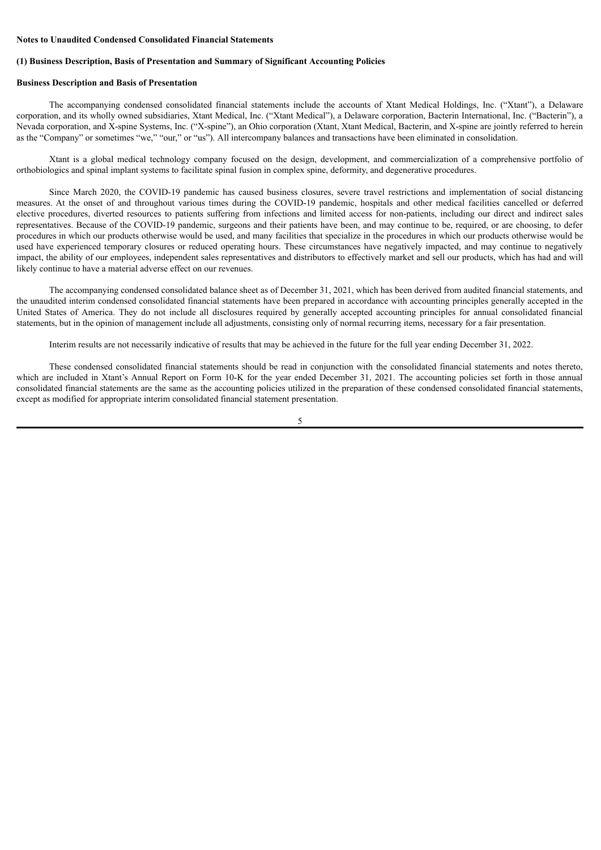#### **Notes to Unaudited Condensed Consolidated Financial Statements**

#### **(1) Business Description, Basis of Presentation and Summary of Significant Accounting Policies**

#### **Business Description and Basis of Presentation**

The accompanying condensed consolidated financial statements include the accounts of Xtant Medical Holdings, Inc. ("Xtant"), a Delaware corporation, and its wholly owned subsidiaries, Xtant Medical, Inc. ("Xtant Medical"), a Delaware corporation, Bacterin International, Inc. ("Bacterin"), a Nevada corporation, and X-spine Systems, Inc. ("X-spine"), an Ohio corporation (Xtant, Xtant Medical, Bacterin, and X-spine are jointly referred to herein as the "Company" or sometimes "we," "our," or "us"). All intercompany balances and transactions have been eliminated in consolidation.

Xtant is a global medical technology company focused on the design, development, and commercialization of a comprehensive portfolio of orthobiologics and spinal implant systems to facilitate spinal fusion in complex spine, deformity, and degenerative procedures.

Since March 2020, the COVID-19 pandemic has caused business closures, severe travel restrictions and implementation of social distancing measures. At the onset of and throughout various times during the COVID-19 pandemic, hospitals and other medical facilities cancelled or deferred elective procedures, diverted resources to patients suffering from infections and limited access for non-patients, including our direct and indirect sales representatives. Because of the COVID-19 pandemic, surgeons and their patients have been, and may continue to be, required, or are choosing, to defer procedures in which our products otherwise would be used, and many facilities that specialize in the procedures in which our products otherwise would be used have experienced temporary closures or reduced operating hours. These circumstances have negatively impacted, and may continue to negatively impact, the ability of our employees, independent sales representatives and distributors to effectively market and sell our products, which has had and will likely continue to have a material adverse effect on our revenues.

The accompanying condensed consolidated balance sheet as of December 31, 2021, which has been derived from audited financial statements, and the unaudited interim condensed consolidated financial statements have been prepared in accordance with accounting principles generally accepted in the United States of America. They do not include all disclosures required by generally accepted accounting principles for annual consolidated financial statements, but in the opinion of management include all adjustments, consisting only of normal recurring items, necessary for a fair presentation.

Interim results are not necessarily indicative of results that may be achieved in the future for the full year ending December 31, 2022.

These condensed consolidated financial statements should be read in conjunction with the consolidated financial statements and notes thereto, which are included in Xtant's Annual Report on Form 10-K for the year ended December 31, 2021. The accounting policies set forth in those annual consolidated financial statements are the same as the accounting policies utilized in the preparation of these condensed consolidated financial statements, except as modified for appropriate interim consolidated financial statement presentation.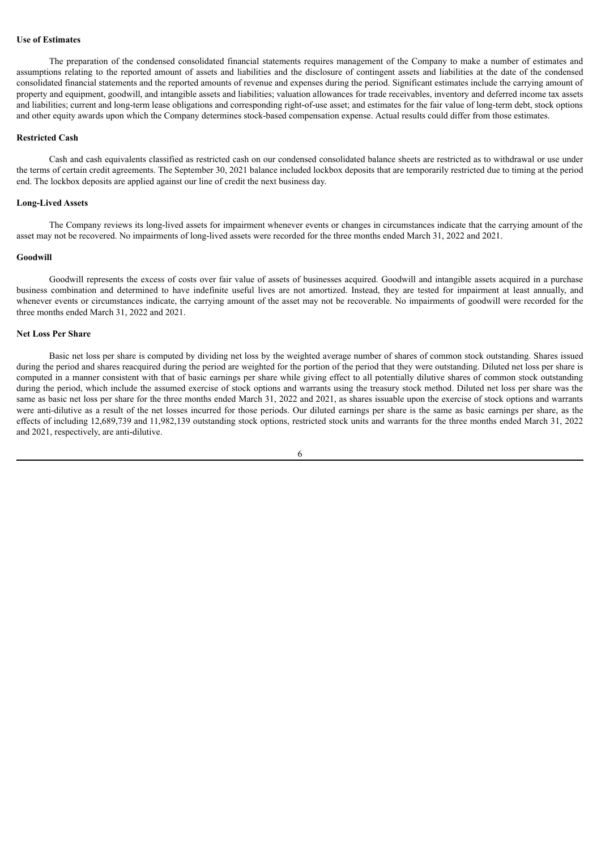#### **Use of Estimates**

The preparation of the condensed consolidated financial statements requires management of the Company to make a number of estimates and assumptions relating to the reported amount of assets and liabilities and the disclosure of contingent assets and liabilities at the date of the condensed consolidated financial statements and the reported amounts of revenue and expenses during the period. Significant estimates include the carrying amount of property and equipment, goodwill, and intangible assets and liabilities; valuation allowances for trade receivables, inventory and deferred income tax assets and liabilities; current and long-term lease obligations and corresponding right-of-use asset; and estimates for the fair value of long-term debt, stock options and other equity awards upon which the Company determines stock-based compensation expense. Actual results could differ from those estimates.

#### **Restricted Cash**

Cash and cash equivalents classified as restricted cash on our condensed consolidated balance sheets are restricted as to withdrawal or use under the terms of certain credit agreements. The September 30, 2021 balance included lockbox deposits that are temporarily restricted due to timing at the period end. The lockbox deposits are applied against our line of credit the next business day.

#### **Long-Lived Assets**

The Company reviews its long-lived assets for impairment whenever events or changes in circumstances indicate that the carrying amount of the asset may not be recovered. No impairments of long-lived assets were recorded for the three months ended March 31, 2022 and 2021.

#### **Goodwill**

Goodwill represents the excess of costs over fair value of assets of businesses acquired. Goodwill and intangible assets acquired in a purchase business combination and determined to have indefinite useful lives are not amortized. Instead, they are tested for impairment at least annually, and whenever events or circumstances indicate, the carrying amount of the asset may not be recoverable. No impairments of goodwill were recorded for the three months ended March 31, 2022 and 2021.

#### **Net Loss Per Share**

Basic net loss per share is computed by dividing net loss by the weighted average number of shares of common stock outstanding. Shares issued during the period and shares reacquired during the period are weighted for the portion of the period that they were outstanding. Diluted net loss per share is computed in a manner consistent with that of basic earnings per share while giving effect to all potentially dilutive shares of common stock outstanding during the period, which include the assumed exercise of stock options and warrants using the treasury stock method. Diluted net loss per share was the same as basic net loss per share for the three months ended March 31, 2022 and 2021, as shares issuable upon the exercise of stock options and warrants were anti-dilutive as a result of the net losses incurred for those periods. Our diluted earnings per share is the same as basic earnings per share, as the effects of including 12,689,739 and 11,982,139 outstanding stock options, restricted stock units and warrants for the three months ended March 31, 2022 and 2021, respectively, are anti-dilutive.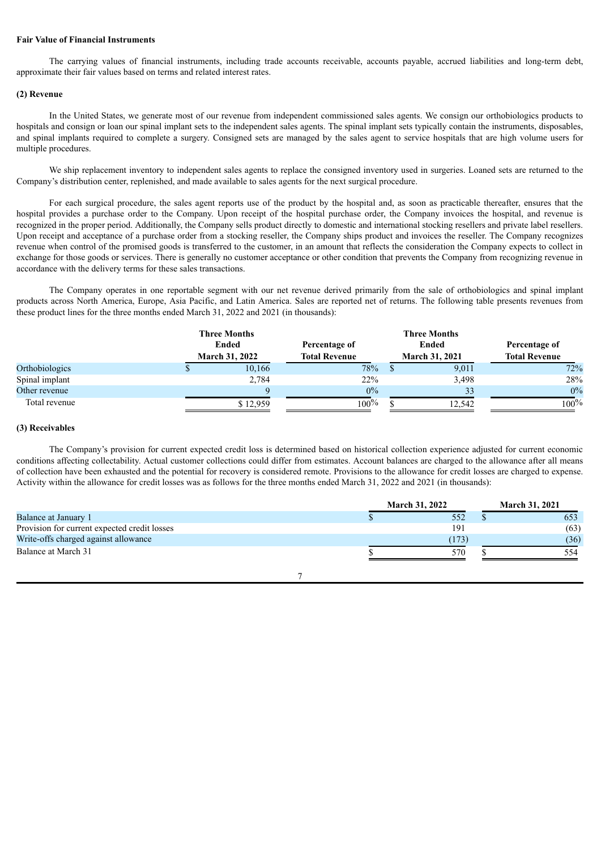#### **Fair Value of Financial Instruments**

The carrying values of financial instruments, including trade accounts receivable, accounts payable, accrued liabilities and long-term debt, approximate their fair values based on terms and related interest rates.

#### **(2) Revenue**

In the United States, we generate most of our revenue from independent commissioned sales agents. We consign our orthobiologics products to hospitals and consign or loan our spinal implant sets to the independent sales agents. The spinal implant sets typically contain the instruments, disposables, and spinal implants required to complete a surgery. Consigned sets are managed by the sales agent to service hospitals that are high volume users for multiple procedures.

We ship replacement inventory to independent sales agents to replace the consigned inventory used in surgeries. Loaned sets are returned to the Company's distribution center, replenished, and made available to sales agents for the next surgical procedure.

For each surgical procedure, the sales agent reports use of the product by the hospital and, as soon as practicable thereafter, ensures that the hospital provides a purchase order to the Company. Upon receipt of the hospital purchase order, the Company invoices the hospital, and revenue is recognized in the proper period. Additionally, the Company sells product directly to domestic and international stocking resellers and private label resellers. Upon receipt and acceptance of a purchase order from a stocking reseller, the Company ships product and invoices the reseller. The Company recognizes revenue when control of the promised goods is transferred to the customer, in an amount that reflects the consideration the Company expects to collect in exchange for those goods or services. There is generally no customer acceptance or other condition that prevents the Company from recognizing revenue in accordance with the delivery terms for these sales transactions.

The Company operates in one reportable segment with our net revenue derived primarily from the sale of orthobiologics and spinal implant products across North America, Europe, Asia Pacific, and Latin America. Sales are reported net of returns. The following table presents revenues from these product lines for the three months ended March 31, 2022 and 2021 (in thousands):

|                | <b>Three Months</b><br>Ended<br><b>March 31, 2022</b> | Percentage of<br><b>Total Revenue</b> | <b>Three Months</b><br>Ended<br><b>March 31, 2021</b> | Percentage of<br><b>Total Revenue</b> |
|----------------|-------------------------------------------------------|---------------------------------------|-------------------------------------------------------|---------------------------------------|
| Orthobiologics | 10,166                                                | 78%                                   | 9,011                                                 | 72%                                   |
| Spinal implant | 2,784                                                 | 22%                                   | 3,498                                                 | 28%                                   |
| Other revenue  |                                                       | $0\%$                                 | 33                                                    | $0\%$                                 |
| Total revenue  | \$12,959                                              | $100\%$                               | 12,542                                                | $100\%$                               |

#### **(3) Receivables**

The Company's provision for current expected credit loss is determined based on historical collection experience adjusted for current economic conditions affecting collectability. Actual customer collections could differ from estimates. Account balances are charged to the allowance after all means of collection have been exhausted and the potential for recovery is considered remote. Provisions to the allowance for credit losses are charged to expense. Activity within the allowance for credit losses was as follows for the three months ended March 31, 2022 and 2021 (in thousands):

|                                              | <b>March 31, 2022</b> |       |  | <b>March 31, 2021</b> |  |  |
|----------------------------------------------|-----------------------|-------|--|-----------------------|--|--|
| Balance at January 1                         |                       | 552   |  | 653                   |  |  |
| Provision for current expected credit losses |                       | 191   |  | (63)                  |  |  |
| Write-offs charged against allowance         |                       | (173) |  | (36)                  |  |  |
| Balance at March 31                          |                       | 570   |  | 554                   |  |  |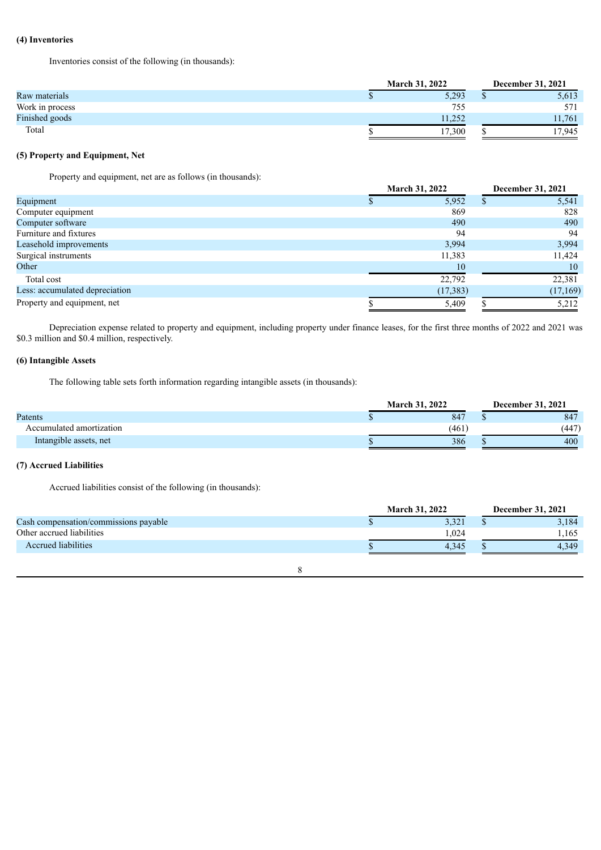# **(4) Inventories**

Inventories consist of the following (in thousands):

|                 | <b>March 31, 2022</b> |        |  | December 31, 2021 |
|-----------------|-----------------------|--------|--|-------------------|
| Raw materials   |                       | 5,293  |  | 5,613             |
| Work in process |                       | 755    |  | 571               |
| Finished goods  |                       | 11.252 |  | 11.761            |
| Total           |                       | 17.300 |  | 17,945            |

# **(5) Property and Equipment, Net**

Property and equipment, net are as follows (in thousands):

|                                | <b>March 31, 2022</b> |           |  | December 31, 2021 |  |  |
|--------------------------------|-----------------------|-----------|--|-------------------|--|--|
| Equipment                      |                       | 5,952     |  | 5,541             |  |  |
| Computer equipment             |                       | 869       |  | 828               |  |  |
| Computer software              |                       | 490       |  | 490               |  |  |
| Furniture and fixtures         |                       | 94        |  | 94                |  |  |
| Leasehold improvements         |                       | 3.994     |  | 3,994             |  |  |
| Surgical instruments           |                       | 11,383    |  | 11,424            |  |  |
| Other                          |                       | 10        |  | 10                |  |  |
| Total cost                     |                       | 22,792    |  | 22,381            |  |  |
| Less: accumulated depreciation |                       | (17, 383) |  | (17,169)          |  |  |
| Property and equipment, net    |                       | 5,409     |  | 5,212             |  |  |

Depreciation expense related to property and equipment, including property under finance leases, for the first three months of 2022 and 2021 was \$0.3 million and \$0.4 million, respectively.

# **(6) Intangible Assets**

The following table sets forth information regarding intangible assets (in thousands):

|                          | <b>March 31, 2022</b> | <b>December 31, 2021</b> |
|--------------------------|-----------------------|--------------------------|
| Patents                  | 847                   | 847                      |
| Accumulated amortization | (461)                 | (447)                    |
| Intangible assets, net   | 386                   | 400                      |

# **(7) Accrued Liabilities**

Accrued liabilities consist of the following (in thousands):

|                                       |       | <b>March 31, 2022</b> |       | <b>December 31, 2021</b> |
|---------------------------------------|-------|-----------------------|-------|--------------------------|
| Cash compensation/commissions payable |       | 3,321                 |       | 3,184                    |
| Other accrued liabilities             |       | .024                  |       | .165                     |
| Accrued liabilities                   | 4.345 |                       | 4.349 |                          |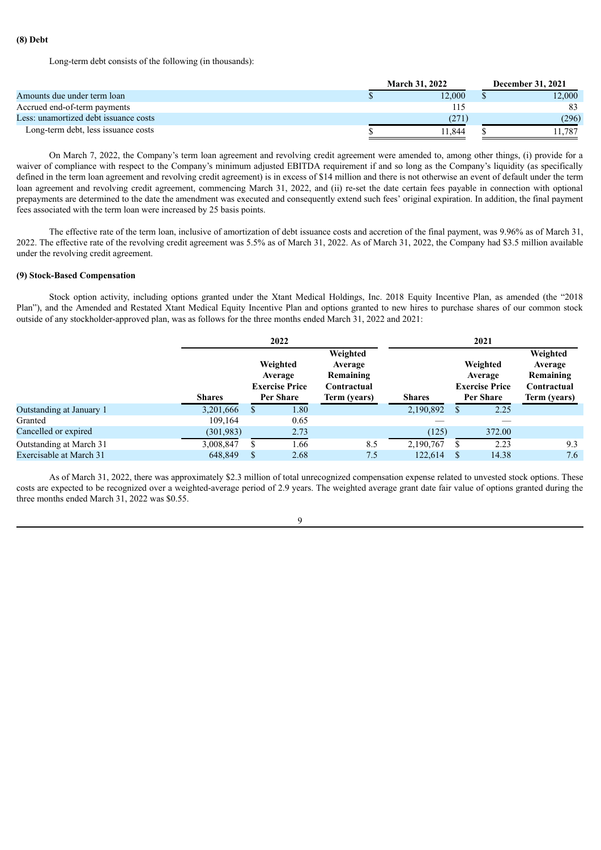Long-term debt consists of the following (in thousands):

|                                       | <b>March 31, 2022</b> | <b>December 31, 2021</b> |
|---------------------------------------|-----------------------|--------------------------|
| Amounts due under term loan           | 12,000                | 12,000                   |
| Accrued end-of-term payments          | l 15                  |                          |
| Less: unamortized debt issuance costs | (271)                 | (296)                    |
| Long-term debt, less issuance costs   | 1.844                 | 11.787                   |

On March 7, 2022, the Company's term loan agreement and revolving credit agreement were amended to, among other things, (i) provide for a waiver of compliance with respect to the Company's minimum adjusted EBITDA requirement if and so long as the Company's liquidity (as specifically defined in the term loan agreement and revolving credit agreement) is in excess of \$14 million and there is not otherwise an event of default under the term loan agreement and revolving credit agreement, commencing March 31, 2022, and (ii) re-set the date certain fees payable in connection with optional prepayments are determined to the date the amendment was executed and consequently extend such fees' original expiration. In addition, the final payment fees associated with the term loan were increased by 25 basis points.

The effective rate of the term loan, inclusive of amortization of debt issuance costs and accretion of the final payment, was 9.96% as of March 31, 2022. The effective rate of the revolving credit agreement was 5.5% as of March 31, 2022. As of March 31, 2022, the Company had \$3.5 million available under the revolving credit agreement.

#### **(9) Stock-Based Compensation**

Stock option activity, including options granted under the Xtant Medical Holdings, Inc. 2018 Equity Incentive Plan, as amended (the "2018 Plan"), and the Amended and Restated Xtant Medical Equity Incentive Plan and options granted to new hires to purchase shares of our common stock outside of any stockholder-approved plan, was as follows for the three months ended March 31, 2022 and 2021:

|               | 2022          |      |                                                                 |               |               | 2021    |                                                                 |
|---------------|---------------|------|-----------------------------------------------------------------|---------------|---------------|---------|-----------------------------------------------------------------|
| <b>Shares</b> |               |      | Weighted<br>Average<br>Remaining<br>Contractual<br>Term (years) | <b>Shares</b> |               | Average | Weighted<br>Average<br>Remaining<br>Contractual<br>Term (years) |
| 3,201,666     | <sup>\$</sup> | 1.80 |                                                                 | 2,190,892     |               | 2.25    |                                                                 |
| 109.164       |               | 0.65 |                                                                 |               |               |         |                                                                 |
| (301, 983)    |               | 2.73 |                                                                 | (125)         |               | 372.00  |                                                                 |
| 3,008,847     | S             | 1.66 | 8.5                                                             | 2,190,767     | S             | 2.23    | 9.3                                                             |
| 648,849       |               | 2.68 | 7.5                                                             | 122,614       | <sup>\$</sup> | 14.38   | 7.6                                                             |
|               |               |      | Weighted<br>Average<br><b>Exercise Price</b><br>Per Share       |               |               |         | Weighted<br><b>Exercise Price</b><br>Per Share                  |

As of March 31, 2022, there was approximately \$2.3 million of total unrecognized compensation expense related to unvested stock options. These costs are expected to be recognized over a weighted-average period of 2.9 years. The weighted average grant date fair value of options granted during the three months ended March 31, 2022 was \$0.55.

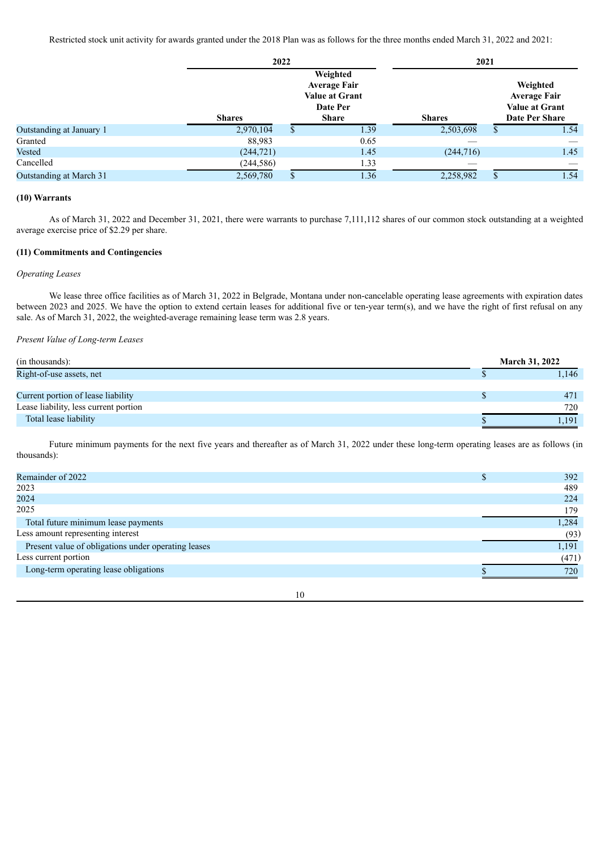Restricted stock unit activity for awards granted under the 2018 Plan was as follows for the three months ended March 31, 2022 and 2021:

|                          |               | 2022 |                                                                                      |               | 2021 |                                                                            |
|--------------------------|---------------|------|--------------------------------------------------------------------------------------|---------------|------|----------------------------------------------------------------------------|
|                          | <b>Shares</b> |      | Weighted<br><b>Average Fair</b><br><b>Value at Grant</b><br>Date Per<br><b>Share</b> | <b>Shares</b> |      | Weighted<br><b>Average Fair</b><br><b>Value at Grant</b><br>Date Per Share |
| Outstanding at January 1 | 2,970,104     | \$   | 1.39                                                                                 | 2,503,698     | Ж    | 1.54                                                                       |
| Granted                  | 88,983        |      | 0.65                                                                                 |               |      |                                                                            |
| Vested                   | (244, 721)    |      | 1.45                                                                                 | (244, 716)    |      | 1.45                                                                       |
| Cancelled                | (244, 586)    |      | 1.33                                                                                 |               |      |                                                                            |
| Outstanding at March 31  | 2,569,780     | S    | 1.36                                                                                 | 2,258,982     | S    | 1.54                                                                       |

#### **(10) Warrants**

As of March 31, 2022 and December 31, 2021, there were warrants to purchase 7,111,112 shares of our common stock outstanding at a weighted average exercise price of \$2.29 per share.

#### **(11) Commitments and Contingencies**

#### *Operating Leases*

We lease three office facilities as of March 31, 2022 in Belgrade, Montana under non-cancelable operating lease agreements with expiration dates between 2023 and 2025. We have the option to extend certain leases for additional five or ten-year term(s), and we have the right of first refusal on any sale. As of March 31, 2022, the weighted-average remaining lease term was 2.8 years.

*Present Value of Long-term Leases*

| (in thousands):                       | <b>March 31, 2022</b> |
|---------------------------------------|-----------------------|
| Right-of-use assets, net              | 1,146                 |
|                                       |                       |
| Current portion of lease liability    | 471                   |
| Lease liability, less current portion | 720                   |
| Total lease liability                 | 1,191                 |

Future minimum payments for the next five years and thereafter as of March 31, 2022 under these long-term operating leases are as follows (in thousands):

| Remainder of 2022                                   | 392   |
|-----------------------------------------------------|-------|
| 2023                                                | 489   |
| 2024                                                | 224   |
| 2025                                                | 179   |
| Total future minimum lease payments                 | 1,284 |
| Less amount representing interest                   | (93)  |
| Present value of obligations under operating leases | 1,191 |
| Less current portion                                | (471) |
| Long-term operating lease obligations               | 720   |
|                                                     |       |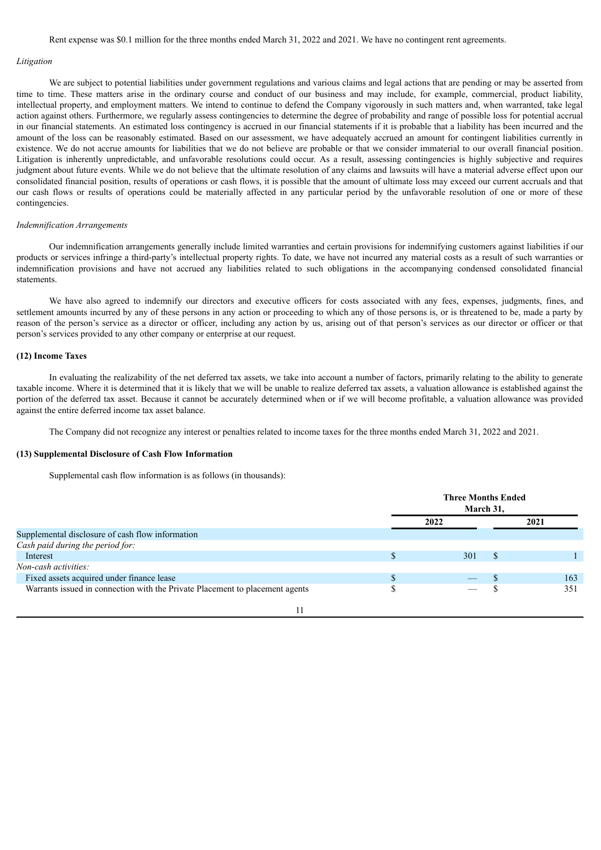#### *Litigation*

We are subject to potential liabilities under government regulations and various claims and legal actions that are pending or may be asserted from time to time. These matters arise in the ordinary course and conduct of our business and may include, for example, commercial, product liability, intellectual property, and employment matters. We intend to continue to defend the Company vigorously in such matters and, when warranted, take legal action against others. Furthermore, we regularly assess contingencies to determine the degree of probability and range of possible loss for potential accrual in our financial statements. An estimated loss contingency is accrued in our financial statements if it is probable that a liability has been incurred and the amount of the loss can be reasonably estimated. Based on our assessment, we have adequately accrued an amount for contingent liabilities currently in existence. We do not accrue amounts for liabilities that we do not believe are probable or that we consider immaterial to our overall financial position. Litigation is inherently unpredictable, and unfavorable resolutions could occur. As a result, assessing contingencies is highly subjective and requires judgment about future events. While we do not believe that the ultimate resolution of any claims and lawsuits will have a material adverse effect upon our consolidated financial position, results of operations or cash flows, it is possible that the amount of ultimate loss may exceed our current accruals and that our cash flows or results of operations could be materially affected in any particular period by the unfavorable resolution of one or more of these contingencies.

#### *Indemnification Arrangements*

Our indemnification arrangements generally include limited warranties and certain provisions for indemnifying customers against liabilities if our products or services infringe a third-party's intellectual property rights. To date, we have not incurred any material costs as a result of such warranties or indemnification provisions and have not accrued any liabilities related to such obligations in the accompanying condensed consolidated financial statements.

We have also agreed to indemnify our directors and executive officers for costs associated with any fees, expenses, judgments, fines, and settlement amounts incurred by any of these persons in any action or proceeding to which any of those persons is, or is threatened to be, made a party by reason of the person's service as a director or officer, including any action by us, arising out of that person's services as our director or officer or that person's services provided to any other company or enterprise at our request.

#### **(12) Income Taxes**

In evaluating the realizability of the net deferred tax assets, we take into account a number of factors, primarily relating to the ability to generate taxable income. Where it is determined that it is likely that we will be unable to realize deferred tax assets, a valuation allowance is established against the portion of the deferred tax asset. Because it cannot be accurately determined when or if we will become profitable, a valuation allowance was provided against the entire deferred income tax asset balance.

The Company did not recognize any interest or penalties related to income taxes for the three months ended March 31, 2022 and 2021.

#### **(13) Supplemental Disclosure of Cash Flow Information**

Supplemental cash flow information is as follows (in thousands):

|                                                                              | <b>Three Months Ended</b><br>March 31, |      |   |      |
|------------------------------------------------------------------------------|----------------------------------------|------|---|------|
|                                                                              |                                        | 2022 |   | 2021 |
| Supplemental disclosure of cash flow information                             |                                        |      |   |      |
| Cash paid during the period for:                                             |                                        |      |   |      |
| Interest                                                                     |                                        | 301  | S |      |
| Non-cash activities:                                                         |                                        |      |   |      |
| Fixed assets acquired under finance lease                                    |                                        |      |   | 163  |
| Warrants issued in connection with the Private Placement to placement agents | J.                                     |      |   | 351  |
|                                                                              |                                        |      |   |      |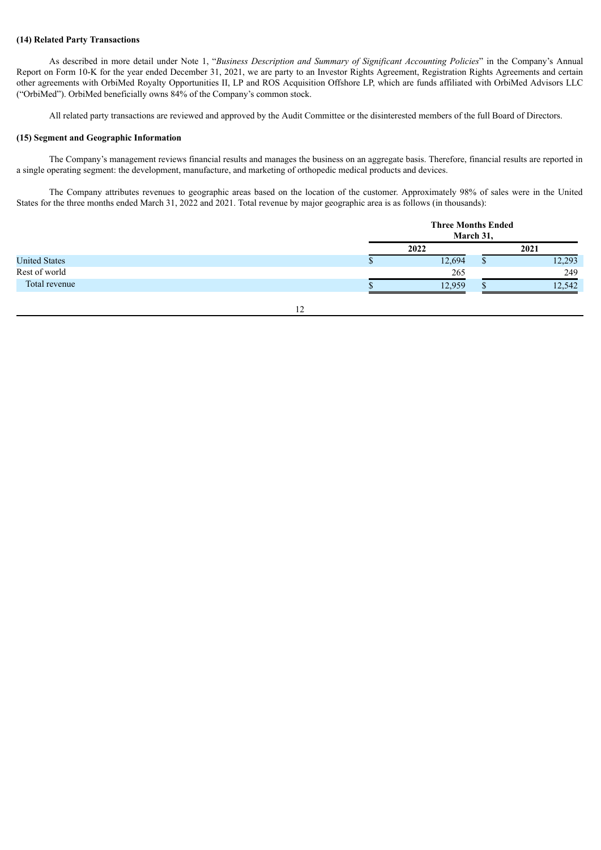#### **(14) Related Party Transactions**

As described in more detail under Note 1, "*Business Description and Summary of Significant Accounting Policies*" in the Company's Annual Report on Form 10-K for the year ended December 31, 2021, we are party to an Investor Rights Agreement, Registration Rights Agreements and certain other agreements with OrbiMed Royalty Opportunities II, LP and ROS Acquisition Offshore LP, which are funds affiliated with OrbiMed Advisors LLC ("OrbiMed"). OrbiMed beneficially owns 84% of the Company's common stock.

All related party transactions are reviewed and approved by the Audit Committee or the disinterested members of the full Board of Directors.

#### **(15) Segment and Geographic Information**

The Company's management reviews financial results and manages the business on an aggregate basis. Therefore, financial results are reported in a single operating segment: the development, manufacture, and marketing of orthopedic medical products and devices.

The Company attributes revenues to geographic areas based on the location of the customer. Approximately 98% of sales were in the United States for the three months ended March 31, 2022 and 2021. Total revenue by major geographic area is as follows (in thousands):

|                      |    | <b>Three Months Ended</b><br>March 31, |    |        |  |
|----------------------|----|----------------------------------------|----|--------|--|
|                      |    | 2022                                   |    | 2021   |  |
| <b>United States</b> |    | 12,694                                 | D  | 12,293 |  |
| Rest of world        |    | 265                                    |    | 249    |  |
| Total revenue        |    | 12.959                                 | ٠D | 12,542 |  |
|                      | 12 |                                        |    |        |  |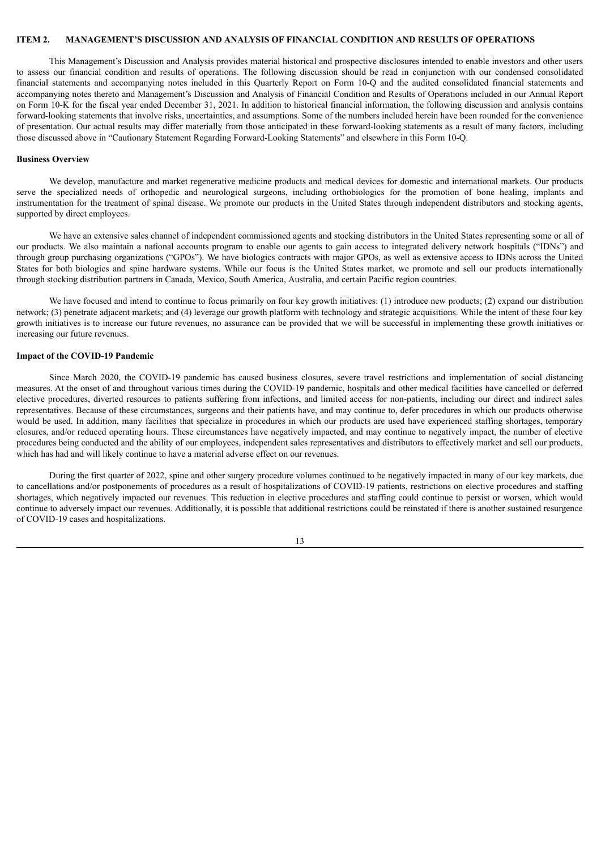#### <span id="page-16-0"></span>**ITEM 2. MANAGEMENT'S DISCUSSION AND ANALYSIS OF FINANCIAL CONDITION AND RESULTS OF OPERATIONS**

This Management's Discussion and Analysis provides material historical and prospective disclosures intended to enable investors and other users to assess our financial condition and results of operations. The following discussion should be read in conjunction with our condensed consolidated financial statements and accompanying notes included in this Quarterly Report on Form 10-Q and the audited consolidated financial statements and accompanying notes thereto and Management's Discussion and Analysis of Financial Condition and Results of Operations included in our Annual Report on Form 10-K for the fiscal year ended December 31, 2021. In addition to historical financial information, the following discussion and analysis contains forward-looking statements that involve risks, uncertainties, and assumptions. Some of the numbers included herein have been rounded for the convenience of presentation. Our actual results may differ materially from those anticipated in these forward-looking statements as a result of many factors, including those discussed above in "Cautionary Statement Regarding Forward-Looking Statements" and elsewhere in this Form 10-Q.

#### **Business Overview**

We develop, manufacture and market regenerative medicine products and medical devices for domestic and international markets. Our products serve the specialized needs of orthopedic and neurological surgeons, including orthobiologics for the promotion of bone healing, implants and instrumentation for the treatment of spinal disease. We promote our products in the United States through independent distributors and stocking agents, supported by direct employees.

We have an extensive sales channel of independent commissioned agents and stocking distributors in the United States representing some or all of our products. We also maintain a national accounts program to enable our agents to gain access to integrated delivery network hospitals ("IDNs") and through group purchasing organizations ("GPOs"). We have biologics contracts with major GPOs, as well as extensive access to IDNs across the United States for both biologics and spine hardware systems. While our focus is the United States market, we promote and sell our products internationally through stocking distribution partners in Canada, Mexico, South America, Australia, and certain Pacific region countries.

We have focused and intend to continue to focus primarily on four key growth initiatives: (1) introduce new products; (2) expand our distribution network; (3) penetrate adjacent markets; and (4) leverage our growth platform with technology and strategic acquisitions. While the intent of these four key growth initiatives is to increase our future revenues, no assurance can be provided that we will be successful in implementing these growth initiatives or increasing our future revenues.

#### **Impact of the COVID-19 Pandemic**

Since March 2020, the COVID-19 pandemic has caused business closures, severe travel restrictions and implementation of social distancing measures. At the onset of and throughout various times during the COVID-19 pandemic, hospitals and other medical facilities have cancelled or deferred elective procedures, diverted resources to patients suffering from infections, and limited access for non-patients, including our direct and indirect sales representatives. Because of these circumstances, surgeons and their patients have, and may continue to, defer procedures in which our products otherwise would be used. In addition, many facilities that specialize in procedures in which our products are used have experienced staffing shortages, temporary closures, and/or reduced operating hours. These circumstances have negatively impacted, and may continue to negatively impact, the number of elective procedures being conducted and the ability of our employees, independent sales representatives and distributors to effectively market and sell our products, which has had and will likely continue to have a material adverse effect on our revenues.

During the first quarter of 2022, spine and other surgery procedure volumes continued to be negatively impacted in many of our key markets, due to cancellations and/or postponements of procedures as a result of hospitalizations of COVID-19 patients, restrictions on elective procedures and staffing shortages, which negatively impacted our revenues. This reduction in elective procedures and staffing could continue to persist or worsen, which would continue to adversely impact our revenues. Additionally, it is possible that additional restrictions could be reinstated if there is another sustained resurgence of COVID-19 cases and hospitalizations.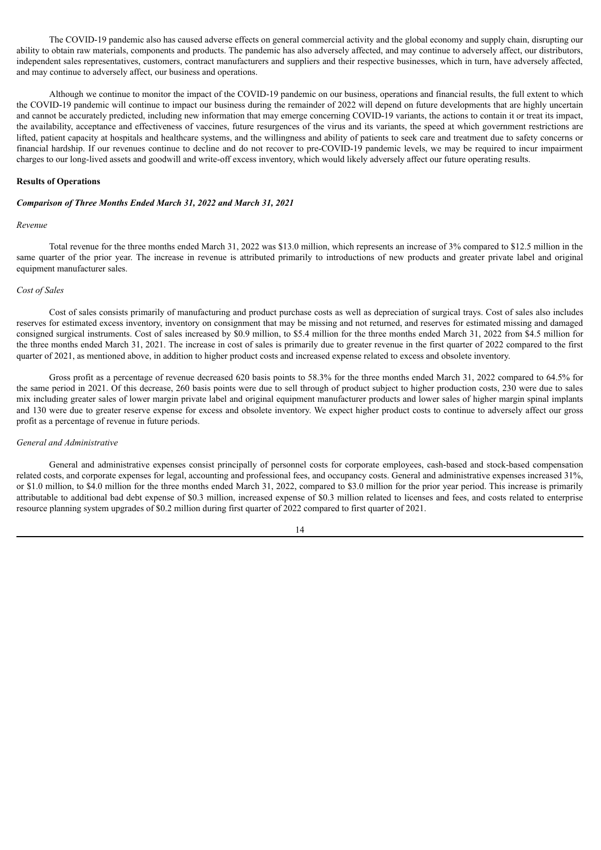The COVID-19 pandemic also has caused adverse effects on general commercial activity and the global economy and supply chain, disrupting our ability to obtain raw materials, components and products. The pandemic has also adversely affected, and may continue to adversely affect, our distributors, independent sales representatives, customers, contract manufacturers and suppliers and their respective businesses, which in turn, have adversely affected, and may continue to adversely affect, our business and operations.

Although we continue to monitor the impact of the COVID-19 pandemic on our business, operations and financial results, the full extent to which the COVID-19 pandemic will continue to impact our business during the remainder of 2022 will depend on future developments that are highly uncertain and cannot be accurately predicted, including new information that may emerge concerning COVID-19 variants, the actions to contain it or treat its impact, the availability, acceptance and effectiveness of vaccines, future resurgences of the virus and its variants, the speed at which government restrictions are lifted, patient capacity at hospitals and healthcare systems, and the willingness and ability of patients to seek care and treatment due to safety concerns or financial hardship. If our revenues continue to decline and do not recover to pre-COVID-19 pandemic levels, we may be required to incur impairment charges to our long-lived assets and goodwill and write-off excess inventory, which would likely adversely affect our future operating results.

#### **Results of Operations**

#### *Comparison of Three Months Ended March 31, 2022 and March 31, 2021*

#### *Revenue*

Total revenue for the three months ended March 31, 2022 was \$13.0 million, which represents an increase of 3% compared to \$12.5 million in the same quarter of the prior year. The increase in revenue is attributed primarily to introductions of new products and greater private label and original equipment manufacturer sales.

#### *Cost of Sales*

Cost of sales consists primarily of manufacturing and product purchase costs as well as depreciation of surgical trays. Cost of sales also includes reserves for estimated excess inventory, inventory on consignment that may be missing and not returned, and reserves for estimated missing and damaged consigned surgical instruments. Cost of sales increased by \$0.9 million, to \$5.4 million for the three months ended March 31, 2022 from \$4.5 million for the three months ended March 31, 2021. The increase in cost of sales is primarily due to greater revenue in the first quarter of 2022 compared to the first quarter of 2021, as mentioned above, in addition to higher product costs and increased expense related to excess and obsolete inventory.

Gross profit as a percentage of revenue decreased 620 basis points to 58.3% for the three months ended March 31, 2022 compared to 64.5% for the same period in 2021. Of this decrease, 260 basis points were due to sell through of product subject to higher production costs, 230 were due to sales mix including greater sales of lower margin private label and original equipment manufacturer products and lower sales of higher margin spinal implants and 130 were due to greater reserve expense for excess and obsolete inventory. We expect higher product costs to continue to adversely affect our gross profit as a percentage of revenue in future periods.

#### *General and Administrative*

General and administrative expenses consist principally of personnel costs for corporate employees, cash-based and stock-based compensation related costs, and corporate expenses for legal, accounting and professional fees, and occupancy costs. General and administrative expenses increased 31%, or \$1.0 million, to \$4.0 million for the three months ended March 31, 2022, compared to \$3.0 million for the prior year period. This increase is primarily attributable to additional bad debt expense of \$0.3 million, increased expense of \$0.3 million related to licenses and fees, and costs related to enterprise resource planning system upgrades of \$0.2 million during first quarter of 2022 compared to first quarter of 2021.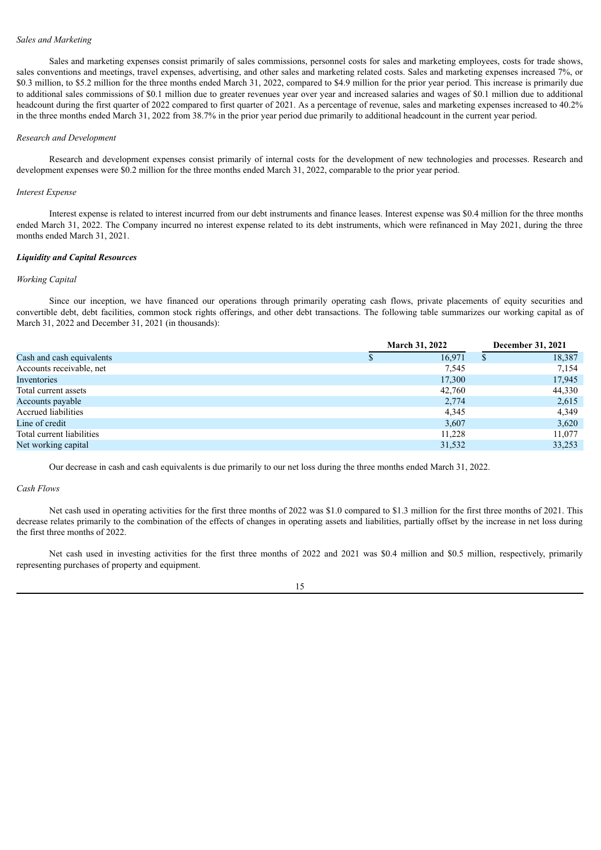Sales and marketing expenses consist primarily of sales commissions, personnel costs for sales and marketing employees, costs for trade shows, sales conventions and meetings, travel expenses, advertising, and other sales and marketing related costs. Sales and marketing expenses increased 7%, or \$0.3 million, to \$5.2 million for the three months ended March 31, 2022, compared to \$4.9 million for the prior year period. This increase is primarily due to additional sales commissions of \$0.1 million due to greater revenues year over year and increased salaries and wages of \$0.1 million due to additional headcount during the first quarter of 2022 compared to first quarter of 2021. As a percentage of revenue, sales and marketing expenses increased to 40.2% in the three months ended March 31, 2022 from 38.7% in the prior year period due primarily to additional headcount in the current year period.

#### *Research and Development*

Research and development expenses consist primarily of internal costs for the development of new technologies and processes. Research and development expenses were \$0.2 million for the three months ended March 31, 2022, comparable to the prior year period.

#### *Interest Expense*

Interest expense is related to interest incurred from our debt instruments and finance leases. Interest expense was \$0.4 million for the three months ended March 31, 2022. The Company incurred no interest expense related to its debt instruments, which were refinanced in May 2021, during the three months ended March 31, 2021.

#### *Liquidity and Capital Resources*

#### *Working Capital*

Since our inception, we have financed our operations through primarily operating cash flows, private placements of equity securities and convertible debt, debt facilities, common stock rights offerings, and other debt transactions. The following table summarizes our working capital as of March 31, 2022 and December 31, 2021 (in thousands):

|                           | <b>March 31, 2022</b> | December 31, 2021 |
|---------------------------|-----------------------|-------------------|
| Cash and cash equivalents | 16,971                | 18,387            |
| Accounts receivable, net  | 7,545                 | 7,154             |
| Inventories               | 17,300                | 17,945            |
| Total current assets      | 42,760                | 44,330            |
| Accounts payable          | 2,774                 | 2,615             |
| Accrued liabilities       | 4.345                 | 4,349             |
| Line of credit            | 3,607                 | 3,620             |
| Total current liabilities | 11,228                | 11,077            |
| Net working capital       | 31,532                | 33,253            |

Our decrease in cash and cash equivalents is due primarily to our net loss during the three months ended March 31, 2022.

#### *Cash Flows*

Net cash used in operating activities for the first three months of 2022 was \$1.0 compared to \$1.3 million for the first three months of 2021. This decrease relates primarily to the combination of the effects of changes in operating assets and liabilities, partially offset by the increase in net loss during the first three months of 2022.

Net cash used in investing activities for the first three months of 2022 and 2021 was \$0.4 million and \$0.5 million, respectively, primarily representing purchases of property and equipment.

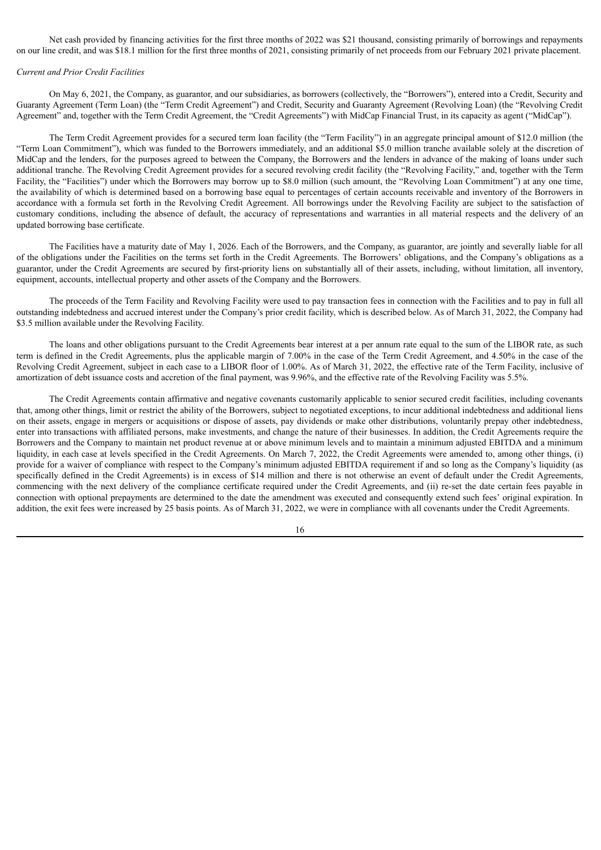Net cash provided by financing activities for the first three months of 2022 was \$21 thousand, consisting primarily of borrowings and repayments on our line credit, and was \$18.1 million for the first three months of 2021, consisting primarily of net proceeds from our February 2021 private placement.

#### *Current and Prior Credit Facilities*

On May 6, 2021, the Company, as guarantor, and our subsidiaries, as borrowers (collectively, the "Borrowers"), entered into a Credit, Security and Guaranty Agreement (Term Loan) (the "Term Credit Agreement") and Credit, Security and Guaranty Agreement (Revolving Loan) (the "Revolving Credit Agreement" and, together with the Term Credit Agreement, the "Credit Agreements") with MidCap Financial Trust, in its capacity as agent ("MidCap").

The Term Credit Agreement provides for a secured term loan facility (the "Term Facility") in an aggregate principal amount of \$12.0 million (the "Term Loan Commitment"), which was funded to the Borrowers immediately, and an additional \$5.0 million tranche available solely at the discretion of MidCap and the lenders, for the purposes agreed to between the Company, the Borrowers and the lenders in advance of the making of loans under such additional tranche. The Revolving Credit Agreement provides for a secured revolving credit facility (the "Revolving Facility," and, together with the Term Facility, the "Facilities") under which the Borrowers may borrow up to \$8.0 million (such amount, the "Revolving Loan Commitment") at any one time, the availability of which is determined based on a borrowing base equal to percentages of certain accounts receivable and inventory of the Borrowers in accordance with a formula set forth in the Revolving Credit Agreement. All borrowings under the Revolving Facility are subject to the satisfaction of customary conditions, including the absence of default, the accuracy of representations and warranties in all material respects and the delivery of an updated borrowing base certificate.

The Facilities have a maturity date of May 1, 2026. Each of the Borrowers, and the Company, as guarantor, are jointly and severally liable for all of the obligations under the Facilities on the terms set forth in the Credit Agreements. The Borrowers' obligations, and the Company's obligations as a guarantor, under the Credit Agreements are secured by first-priority liens on substantially all of their assets, including, without limitation, all inventory, equipment, accounts, intellectual property and other assets of the Company and the Borrowers.

The proceeds of the Term Facility and Revolving Facility were used to pay transaction fees in connection with the Facilities and to pay in full all outstanding indebtedness and accrued interest under the Company's prior credit facility, which is described below. As of March 31, 2022, the Company had \$3.5 million available under the Revolving Facility.

The loans and other obligations pursuant to the Credit Agreements bear interest at a per annum rate equal to the sum of the LIBOR rate, as such term is defined in the Credit Agreements, plus the applicable margin of 7.00% in the case of the Term Credit Agreement, and 4.50% in the case of the Revolving Credit Agreement, subject in each case to a LIBOR floor of 1.00%. As of March 31, 2022, the effective rate of the Term Facility, inclusive of amortization of debt issuance costs and accretion of the final payment, was 9.96%, and the effective rate of the Revolving Facility was 5.5%.

The Credit Agreements contain affirmative and negative covenants customarily applicable to senior secured credit facilities, including covenants that, among other things, limit or restrict the ability of the Borrowers, subject to negotiated exceptions, to incur additional indebtedness and additional liens on their assets, engage in mergers or acquisitions or dispose of assets, pay dividends or make other distributions, voluntarily prepay other indebtedness, enter into transactions with affiliated persons, make investments, and change the nature of their businesses. In addition, the Credit Agreements require the Borrowers and the Company to maintain net product revenue at or above minimum levels and to maintain a minimum adjusted EBITDA and a minimum liquidity, in each case at levels specified in the Credit Agreements. On March 7, 2022, the Credit Agreements were amended to, among other things, (i) provide for a waiver of compliance with respect to the Company's minimum adjusted EBITDA requirement if and so long as the Company's liquidity (as specifically defined in the Credit Agreements) is in excess of \$14 million and there is not otherwise an event of default under the Credit Agreements, commencing with the next delivery of the compliance certificate required under the Credit Agreements, and (ii) re-set the date certain fees payable in connection with optional prepayments are determined to the date the amendment was executed and consequently extend such fees' original expiration. In addition, the exit fees were increased by 25 basis points. As of March 31, 2022, we were in compliance with all covenants under the Credit Agreements.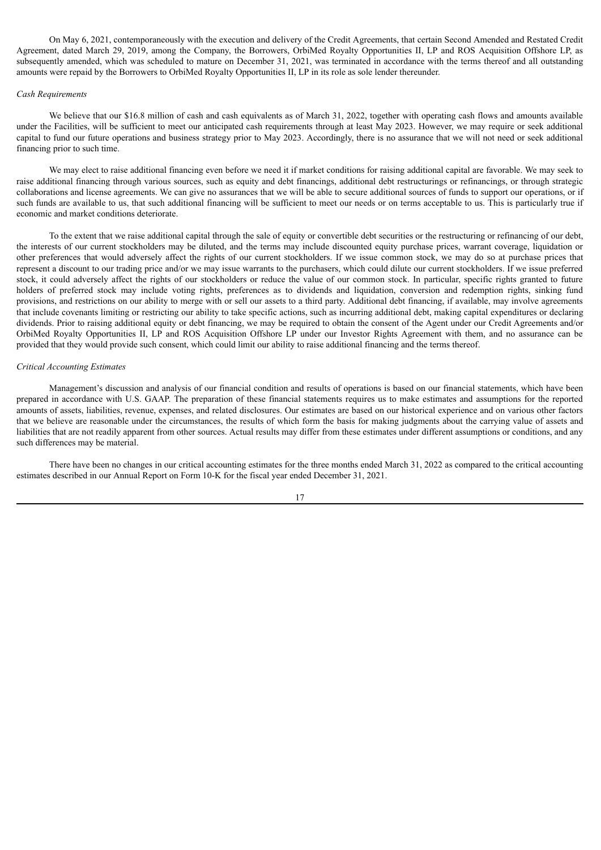On May 6, 2021, contemporaneously with the execution and delivery of the Credit Agreements, that certain Second Amended and Restated Credit Agreement, dated March 29, 2019, among the Company, the Borrowers, OrbiMed Royalty Opportunities II, LP and ROS Acquisition Offshore LP, as subsequently amended, which was scheduled to mature on December 31, 2021, was terminated in accordance with the terms thereof and all outstanding amounts were repaid by the Borrowers to OrbiMed Royalty Opportunities II, LP in its role as sole lender thereunder.

#### *Cash Requirements*

We believe that our \$16.8 million of cash and cash equivalents as of March 31, 2022, together with operating cash flows and amounts available under the Facilities, will be sufficient to meet our anticipated cash requirements through at least May 2023. However, we may require or seek additional capital to fund our future operations and business strategy prior to May 2023. Accordingly, there is no assurance that we will not need or seek additional financing prior to such time.

We may elect to raise additional financing even before we need it if market conditions for raising additional capital are favorable. We may seek to raise additional financing through various sources, such as equity and debt financings, additional debt restructurings or refinancings, or through strategic collaborations and license agreements. We can give no assurances that we will be able to secure additional sources of funds to support our operations, or if such funds are available to us, that such additional financing will be sufficient to meet our needs or on terms acceptable to us. This is particularly true if economic and market conditions deteriorate.

To the extent that we raise additional capital through the sale of equity or convertible debt securities or the restructuring or refinancing of our debt. the interests of our current stockholders may be diluted, and the terms may include discounted equity purchase prices, warrant coverage, liquidation or other preferences that would adversely affect the rights of our current stockholders. If we issue common stock, we may do so at purchase prices that represent a discount to our trading price and/or we may issue warrants to the purchasers, which could dilute our current stockholders. If we issue preferred stock, it could adversely affect the rights of our stockholders or reduce the value of our common stock. In particular, specific rights granted to future holders of preferred stock may include voting rights, preferences as to dividends and liquidation, conversion and redemption rights, sinking fund provisions, and restrictions on our ability to merge with or sell our assets to a third party. Additional debt financing, if available, may involve agreements that include covenants limiting or restricting our ability to take specific actions, such as incurring additional debt, making capital expenditures or declaring dividends. Prior to raising additional equity or debt financing, we may be required to obtain the consent of the Agent under our Credit Agreements and/or OrbiMed Royalty Opportunities II, LP and ROS Acquisition Offshore LP under our Investor Rights Agreement with them, and no assurance can be provided that they would provide such consent, which could limit our ability to raise additional financing and the terms thereof.

#### *Critical Accounting Estimates*

Management's discussion and analysis of our financial condition and results of operations is based on our financial statements, which have been prepared in accordance with U.S. GAAP. The preparation of these financial statements requires us to make estimates and assumptions for the reported amounts of assets, liabilities, revenue, expenses, and related disclosures. Our estimates are based on our historical experience and on various other factors that we believe are reasonable under the circumstances, the results of which form the basis for making judgments about the carrying value of assets and liabilities that are not readily apparent from other sources. Actual results may differ from these estimates under different assumptions or conditions, and any such differences may be material.

There have been no changes in our critical accounting estimates for the three months ended March 31, 2022 as compared to the critical accounting estimates described in our Annual Report on Form 10-K for the fiscal year ended December 31, 2021.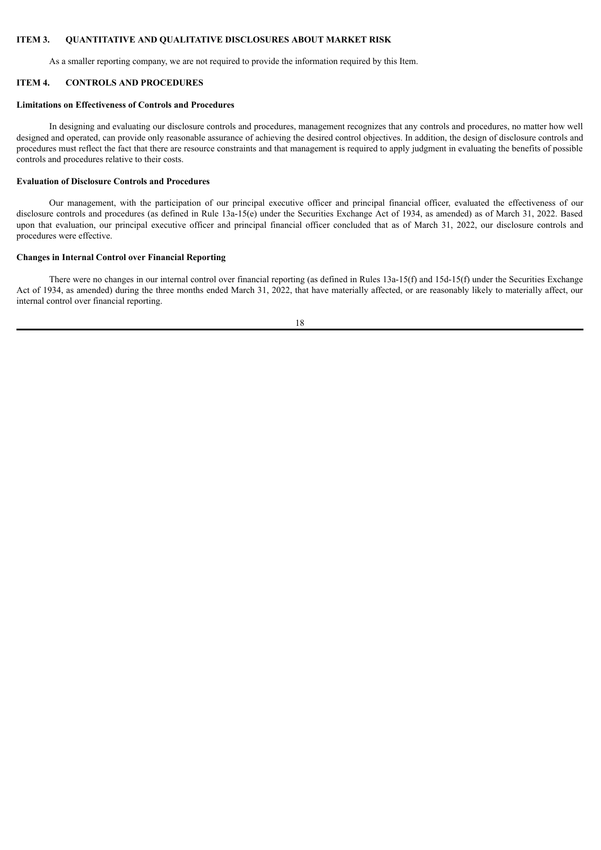#### **ITEM 3. QUANTITATIVE AND QUALITATIVE DISCLOSURES ABOUT MARKET RISK**

<span id="page-21-1"></span><span id="page-21-0"></span>As a smaller reporting company, we are not required to provide the information required by this Item.

## **ITEM 4. CONTROLS AND PROCEDURES**

## **Limitations on Effectiveness of Controls and Procedures**

In designing and evaluating our disclosure controls and procedures, management recognizes that any controls and procedures, no matter how well designed and operated, can provide only reasonable assurance of achieving the desired control objectives. In addition, the design of disclosure controls and procedures must reflect the fact that there are resource constraints and that management is required to apply judgment in evaluating the benefits of possible controls and procedures relative to their costs.

#### **Evaluation of Disclosure Controls and Procedures**

Our management, with the participation of our principal executive officer and principal financial officer, evaluated the effectiveness of our disclosure controls and procedures (as defined in Rule 13a-15(e) under the Securities Exchange Act of 1934, as amended) as of March 31, 2022. Based upon that evaluation, our principal executive officer and principal financial officer concluded that as of March 31, 2022, our disclosure controls and procedures were effective.

#### **Changes in Internal Control over Financial Reporting**

There were no changes in our internal control over financial reporting (as defined in Rules 13a-15(f) and 15d-15(f) under the Securities Exchange Act of 1934, as amended) during the three months ended March 31, 2022, that have materially affected, or are reasonably likely to materially affect, our internal control over financial reporting.

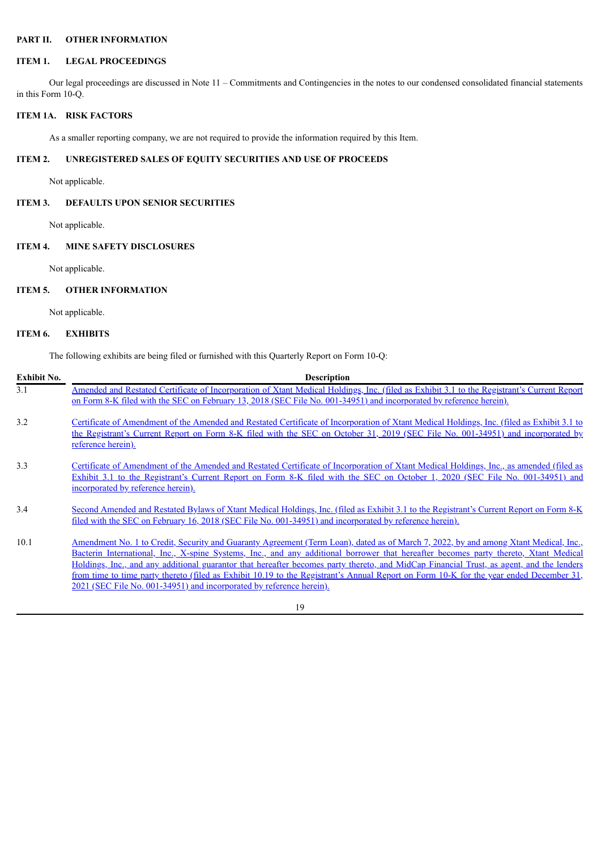# <span id="page-22-0"></span>**PART II. OTHER INFORMATION**

# <span id="page-22-1"></span>**ITEM 1. LEGAL PROCEEDINGS**

Our legal proceedings are discussed in Note 11 – Commitments and Contingencies in the notes to our condensed consolidated financial statements in this Form 10-Q.

# **ITEM 1A. RISK FACTORS**

<span id="page-22-3"></span><span id="page-22-2"></span>As a smaller reporting company, we are not required to provide the information required by this Item.

# **ITEM 2. UNREGISTERED SALES OF EQUITY SECURITIES AND USE OF PROCEEDS**

<span id="page-22-4"></span>Not applicable.

# **ITEM 3. DEFAULTS UPON SENIOR SECURITIES**

<span id="page-22-5"></span>Not applicable.

# **ITEM 4. MINE SAFETY DISCLOSURES**

<span id="page-22-6"></span>Not applicable.

## **ITEM 5. OTHER INFORMATION**

<span id="page-22-7"></span>Not applicable.

## **ITEM 6. EXHIBITS**

The following exhibits are being filed or furnished with this Quarterly Report on Form 10-Q:

| Exhibit No. | <b>Description</b>                                                                                                                                                                                                                                                                                                                                                                                                                                                                                                                                                                                                                         |
|-------------|--------------------------------------------------------------------------------------------------------------------------------------------------------------------------------------------------------------------------------------------------------------------------------------------------------------------------------------------------------------------------------------------------------------------------------------------------------------------------------------------------------------------------------------------------------------------------------------------------------------------------------------------|
| 3.1         | Amended and Restated Certificate of Incorporation of Xtant Medical Holdings, Inc. (filed as Exhibit 3.1 to the Registrant's Current Report<br>on Form 8-K filed with the SEC on February 13, 2018 (SEC File No. 001-34951) and incorporated by reference herein).                                                                                                                                                                                                                                                                                                                                                                          |
| 3.2         | Certificate of Amendment of the Amended and Restated Certificate of Incorporation of Xtant Medical Holdings, Inc. (filed as Exhibit 3.1 to<br>the Registrant's Current Report on Form 8-K filed with the SEC on October 31, 2019 (SEC File No. 001-34951) and incorporated by<br>reference herein).                                                                                                                                                                                                                                                                                                                                        |
| 3.3         | Certificate of Amendment of the Amended and Restated Certificate of Incorporation of Xtant Medical Holdings, Inc., as amended (filed as<br>Exhibit 3.1 to the Registrant's Current Report on Form 8-K filed with the SEC on October 1, 2020 (SEC File No. 001-34951) and<br>incorporated by reference herein).                                                                                                                                                                                                                                                                                                                             |
| 3.4         | Second Amended and Restated Bylaws of Xtant Medical Holdings, Inc. (filed as Exhibit 3.1 to the Registrant's Current Report on Form 8-K<br>filed with the SEC on February 16, 2018 (SEC File No. 001-34951) and incorporated by reference herein).                                                                                                                                                                                                                                                                                                                                                                                         |
| 10.1        | Amendment No. 1 to Credit, Security and Guaranty Agreement (Term Loan), dated as of March 7, 2022, by and among Xtant Medical, Inc.,<br>Bacterin International, Inc., X-spine Systems, Inc., and any additional borrower that hereafter becomes party thereto, Xtant Medical<br>Holdings, Inc., and any additional guarantor that hereafter becomes party thereto, and MidCap Financial Trust, as agent, and the lenders<br>from time to time party thereto (filed as Exhibit 10.19 to the Registrant's Annual Report on Form 10-K for the year ended December 31,<br>2021 (SEC File No. 001-34951) and incorporated by reference herein). |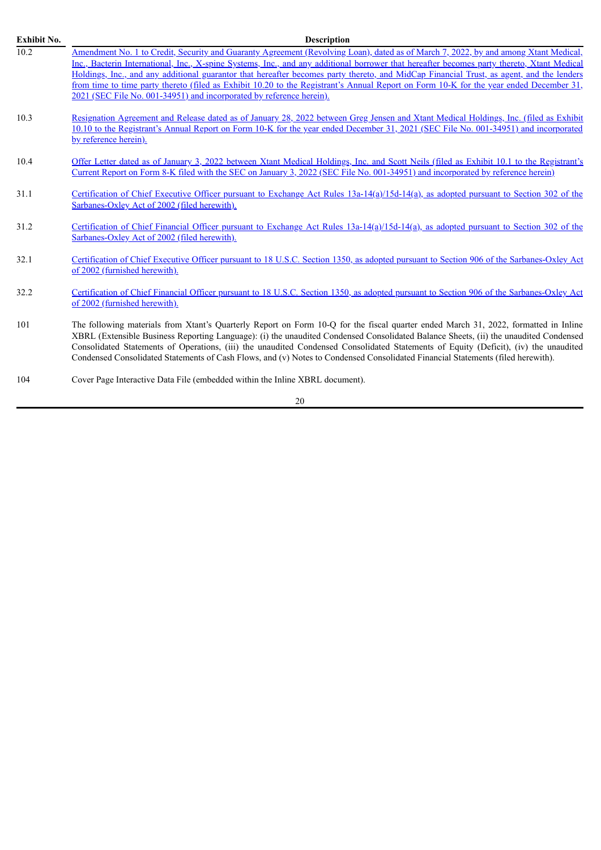| Exhibit No. | <b>Description</b>                                                                                                                                                                                                                                                                                                                                                                                                                                                                                                                                                                                                                              |
|-------------|-------------------------------------------------------------------------------------------------------------------------------------------------------------------------------------------------------------------------------------------------------------------------------------------------------------------------------------------------------------------------------------------------------------------------------------------------------------------------------------------------------------------------------------------------------------------------------------------------------------------------------------------------|
| 10.2        | Amendment No. 1 to Credit, Security and Guaranty Agreement (Revolving Loan), dated as of March 7, 2022, by and among Xtant Medical,<br>Inc., Bacterin International, Inc., X-spine Systems, Inc., and any additional borrower that hereafter becomes party thereto, Xtant Medical<br>Holdings, Inc., and any additional guarantor that hereafter becomes party thereto, and MidCap Financial Trust, as agent, and the lenders<br>from time to time party thereto (filed as Exhibit 10.20 to the Registrant's Annual Report on Form 10-K for the year ended December 31,<br>2021 (SEC File No. 001-34951) and incorporated by reference herein). |
| 10.3        | Resignation Agreement and Release dated as of January 28, 2022 between Greg Jensen and Xtant Medical Holdings, Inc. (filed as Exhibit<br>10.10 to the Registrant's Annual Report on Form 10-K for the year ended December 31, 2021 (SEC File No. 001-34951) and incorporated<br>by reference herein).                                                                                                                                                                                                                                                                                                                                           |
| 10.4        | Offer Letter dated as of January 3, 2022 between Xtant Medical Holdings, Inc. and Scott Neils (filed as Exhibit 10.1 to the Registrant's<br>Current Report on Form 8-K filed with the SEC on January 3, 2022 (SEC File No. 001-34951) and incorporated by reference herein)                                                                                                                                                                                                                                                                                                                                                                     |
| 31.1        | Certification of Chief Executive Officer pursuant to Exchange Act Rules 13a-14(a)/15d-14(a), as adopted pursuant to Section 302 of the<br>Sarbanes-Oxley Act of 2002 (filed herewith).                                                                                                                                                                                                                                                                                                                                                                                                                                                          |
| 31.2        | Certification of Chief Financial Officer pursuant to Exchange Act Rules 13a-14(a)/15d-14(a), as adopted pursuant to Section 302 of the<br>Sarbanes-Oxley Act of 2002 (filed herewith).                                                                                                                                                                                                                                                                                                                                                                                                                                                          |
| 32.1        | Certification of Chief Executive Officer pursuant to 18 U.S.C. Section 1350, as adopted pursuant to Section 906 of the Sarbanes-Oxley Act<br>of 2002 (furnished herewith).                                                                                                                                                                                                                                                                                                                                                                                                                                                                      |
| 32.2        | Certification of Chief Financial Officer pursuant to 18 U.S.C. Section 1350, as adopted pursuant to Section 906 of the Sarbanes-Oxley Act<br>of 2002 (furnished herewith).                                                                                                                                                                                                                                                                                                                                                                                                                                                                      |
| 101         | The following materials from Xtant's Quarterly Report on Form 10-Q for the fiscal quarter ended March 31, 2022, formatted in Inline<br>XBRL (Extensible Business Reporting Language): (i) the unaudited Condensed Consolidated Balance Sheets, (ii) the unaudited Condensed<br>Consolidated Statements of Operations, (iii) the unaudited Condensed Consolidated Statements of Equity (Deficit), (iv) the unaudited<br>Condensed Consolidated Statements of Cash Flows, and (v) Notes to Condensed Consolidated Financial Statements (filed herewith).                                                                                          |
| 104         | Cover Page Interactive Data File (embedded within the Inline XBRL document).                                                                                                                                                                                                                                                                                                                                                                                                                                                                                                                                                                    |
|             | 20                                                                                                                                                                                                                                                                                                                                                                                                                                                                                                                                                                                                                                              |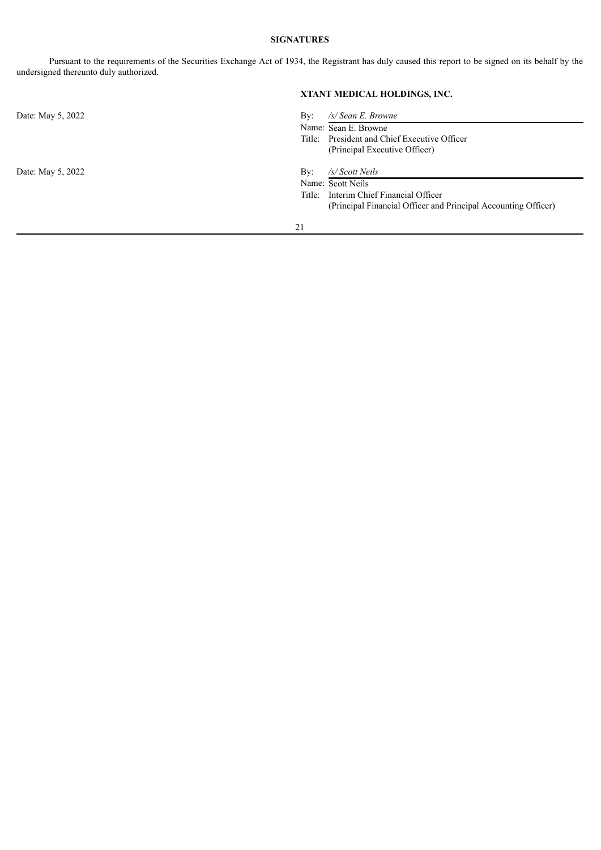## **SIGNATURES**

Pursuant to the requirements of the Securities Exchange Act of 1934, the Registrant has duly caused this report to be signed on its behalf by the undersigned thereunto duly authorized.

|                          | XTANT MEDICAL HOLDINGS, INC.                                   |
|--------------------------|----------------------------------------------------------------|
| Date: May 5, 2022<br>By: | /s/ Sean E. Browne                                             |
|                          | Name: Sean E. Browne                                           |
|                          | Title: President and Chief Executive Officer                   |
|                          | (Principal Executive Officer)                                  |
| Date: May 5, 2022<br>By: | /s/ Scott Neils                                                |
|                          | Name: Scott Neils                                              |
|                          | Title: Interim Chief Financial Officer                         |
|                          | (Principal Financial Officer and Principal Accounting Officer) |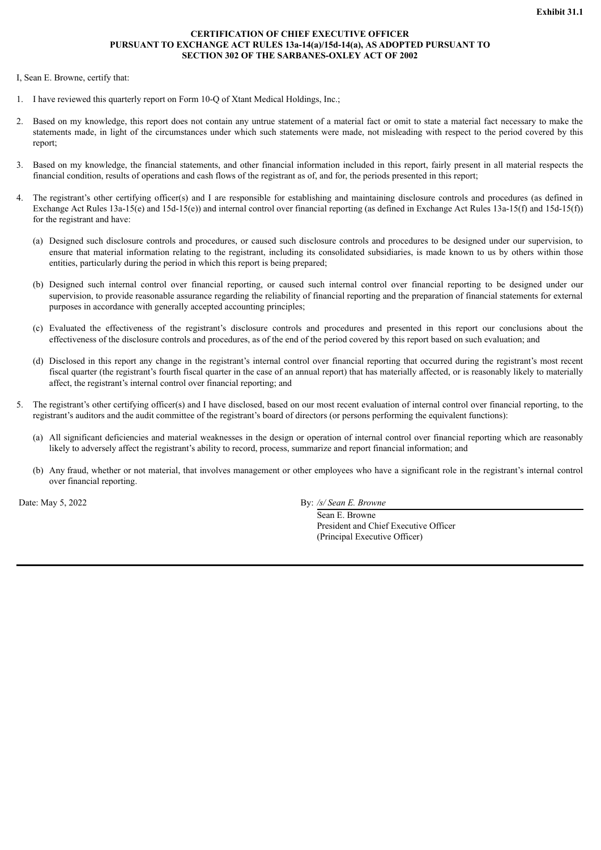## **CERTIFICATION OF CHIEF EXECUTIVE OFFICER PURSUANT TO EXCHANGE ACT RULES 13a-14(a)/15d-14(a), AS ADOPTED PURSUANT TO SECTION 302 OF THE SARBANES-OXLEY ACT OF 2002**

<span id="page-25-0"></span>I, Sean E. Browne, certify that:

- 1. I have reviewed this quarterly report on Form 10-Q of Xtant Medical Holdings, Inc.;
- 2. Based on my knowledge, this report does not contain any untrue statement of a material fact or omit to state a material fact necessary to make the statements made, in light of the circumstances under which such statements were made, not misleading with respect to the period covered by this report;
- 3. Based on my knowledge, the financial statements, and other financial information included in this report, fairly present in all material respects the financial condition, results of operations and cash flows of the registrant as of, and for, the periods presented in this report;
- 4. The registrant's other certifying officer(s) and I are responsible for establishing and maintaining disclosure controls and procedures (as defined in Exchange Act Rules 13a-15(e) and 15d-15(e)) and internal control over financial reporting (as defined in Exchange Act Rules 13a-15(f) and 15d-15(f)) for the registrant and have:
	- (a) Designed such disclosure controls and procedures, or caused such disclosure controls and procedures to be designed under our supervision, to ensure that material information relating to the registrant, including its consolidated subsidiaries, is made known to us by others within those entities, particularly during the period in which this report is being prepared;
	- (b) Designed such internal control over financial reporting, or caused such internal control over financial reporting to be designed under our supervision, to provide reasonable assurance regarding the reliability of financial reporting and the preparation of financial statements for external purposes in accordance with generally accepted accounting principles;
	- (c) Evaluated the effectiveness of the registrant's disclosure controls and procedures and presented in this report our conclusions about the effectiveness of the disclosure controls and procedures, as of the end of the period covered by this report based on such evaluation; and
	- (d) Disclosed in this report any change in the registrant's internal control over financial reporting that occurred during the registrant's most recent fiscal quarter (the registrant's fourth fiscal quarter in the case of an annual report) that has materially affected, or is reasonably likely to materially affect, the registrant's internal control over financial reporting; and
- 5. The registrant's other certifying officer(s) and I have disclosed, based on our most recent evaluation of internal control over financial reporting, to the registrant's auditors and the audit committee of the registrant's board of directors (or persons performing the equivalent functions):
	- (a) All significant deficiencies and material weaknesses in the design or operation of internal control over financial reporting which are reasonably likely to adversely affect the registrant's ability to record, process, summarize and report financial information; and
	- (b) Any fraud, whether or not material, that involves management or other employees who have a significant role in the registrant's internal control over financial reporting.

Date: May 5, 2022 By: */s/ Sean E. Browne*

Sean E. Browne President and Chief Executive Officer (Principal Executive Officer)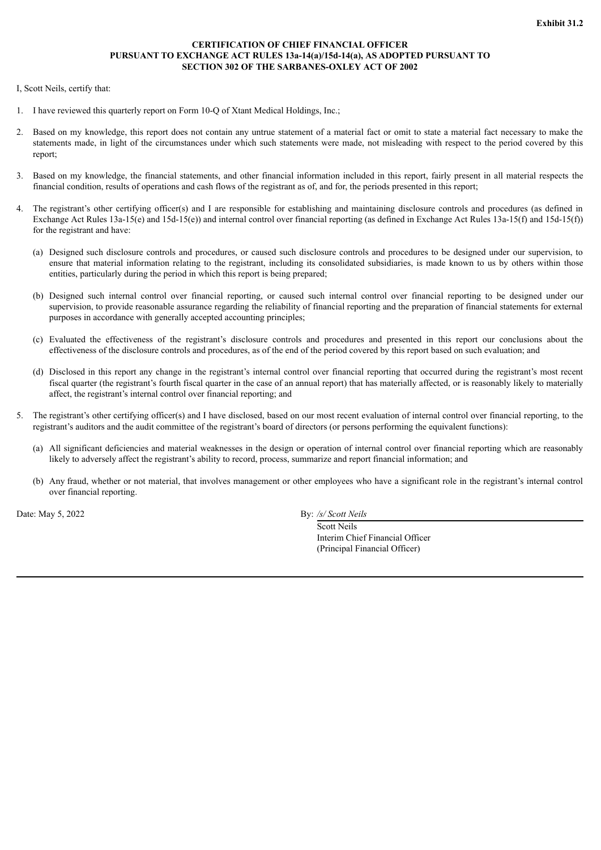## **CERTIFICATION OF CHIEF FINANCIAL OFFICER PURSUANT TO EXCHANGE ACT RULES 13a-14(a)/15d-14(a), AS ADOPTED PURSUANT TO SECTION 302 OF THE SARBANES-OXLEY ACT OF 2002**

<span id="page-26-0"></span>I, Scott Neils, certify that:

- 1. I have reviewed this quarterly report on Form 10-Q of Xtant Medical Holdings, Inc.;
- 2. Based on my knowledge, this report does not contain any untrue statement of a material fact or omit to state a material fact necessary to make the statements made, in light of the circumstances under which such statements were made, not misleading with respect to the period covered by this report;
- 3. Based on my knowledge, the financial statements, and other financial information included in this report, fairly present in all material respects the financial condition, results of operations and cash flows of the registrant as of, and for, the periods presented in this report;
- 4. The registrant's other certifying officer(s) and I are responsible for establishing and maintaining disclosure controls and procedures (as defined in Exchange Act Rules 13a-15(e) and 15d-15(e)) and internal control over financial reporting (as defined in Exchange Act Rules 13a-15(f) and 15d-15(f)) for the registrant and have:
	- (a) Designed such disclosure controls and procedures, or caused such disclosure controls and procedures to be designed under our supervision, to ensure that material information relating to the registrant, including its consolidated subsidiaries, is made known to us by others within those entities, particularly during the period in which this report is being prepared;
	- (b) Designed such internal control over financial reporting, or caused such internal control over financial reporting to be designed under our supervision, to provide reasonable assurance regarding the reliability of financial reporting and the preparation of financial statements for external purposes in accordance with generally accepted accounting principles;
	- (c) Evaluated the effectiveness of the registrant's disclosure controls and procedures and presented in this report our conclusions about the effectiveness of the disclosure controls and procedures, as of the end of the period covered by this report based on such evaluation; and
	- (d) Disclosed in this report any change in the registrant's internal control over financial reporting that occurred during the registrant's most recent fiscal quarter (the registrant's fourth fiscal quarter in the case of an annual report) that has materially affected, or is reasonably likely to materially affect, the registrant's internal control over financial reporting; and
- 5. The registrant's other certifying officer(s) and I have disclosed, based on our most recent evaluation of internal control over financial reporting, to the registrant's auditors and the audit committee of the registrant's board of directors (or persons performing the equivalent functions):
	- (a) All significant deficiencies and material weaknesses in the design or operation of internal control over financial reporting which are reasonably likely to adversely affect the registrant's ability to record, process, summarize and report financial information; and
	- (b) Any fraud, whether or not material, that involves management or other employees who have a significant role in the registrant's internal control over financial reporting.

Date: May 5, 2022 By: */s/ Scott Neils* 

Scott Neils Interim Chief Financial Officer (Principal Financial Officer)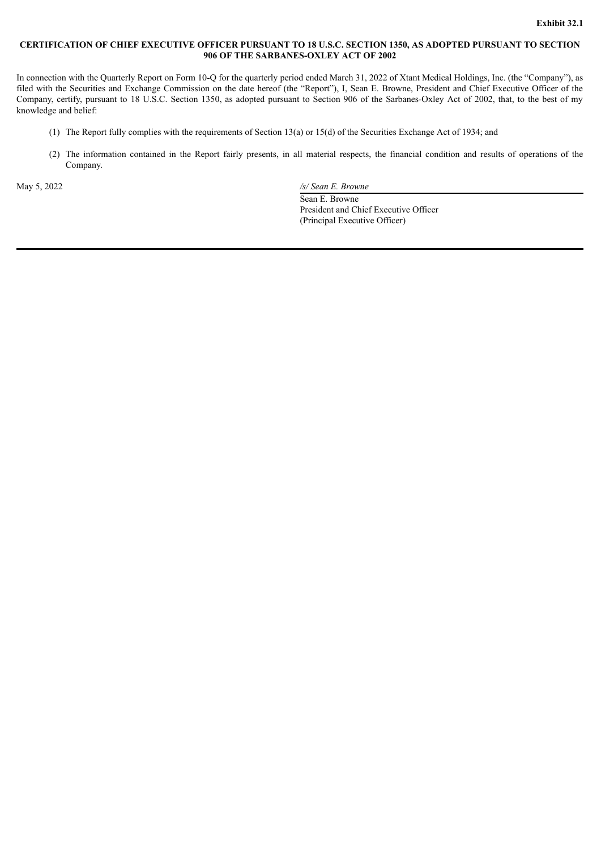#### <span id="page-27-0"></span>**CERTIFICATION OF CHIEF EXECUTIVE OFFICER PURSUANT TO 18 U.S.C. SECTION 1350, AS ADOPTED PURSUANT TO SECTION 906 OF THE SARBANES-OXLEY ACT OF 2002**

In connection with the Quarterly Report on Form 10-Q for the quarterly period ended March 31, 2022 of Xtant Medical Holdings, Inc. (the "Company"), as filed with the Securities and Exchange Commission on the date hereof (the "Report"), I, Sean E. Browne, President and Chief Executive Officer of the Company, certify, pursuant to 18 U.S.C. Section 1350, as adopted pursuant to Section 906 of the Sarbanes-Oxley Act of 2002, that, to the best of my knowledge and belief:

- (1) The Report fully complies with the requirements of Section 13(a) or 15(d) of the Securities Exchange Act of 1934; and
- (2) The information contained in the Report fairly presents, in all material respects, the financial condition and results of operations of the Company.

May 5, 2022 */s/ Sean E. Browne*

Sean E. Browne President and Chief Executive Officer (Principal Executive Officer)